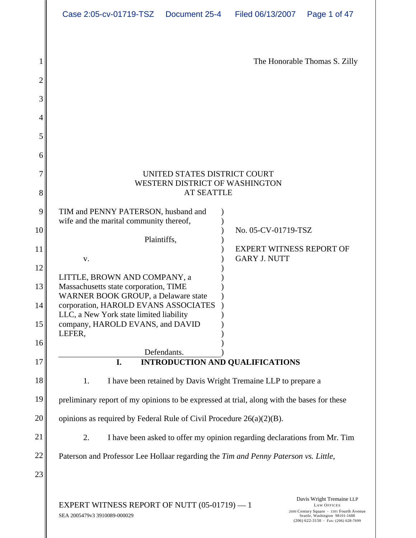|         | Case 2:05-cv-01719-TSZ  Document 25-4   Filed 06/13/2007   Page 1 of 47                                                                                                                                                                       |                                                                                                                                                                      |  |  |  |  |
|---------|-----------------------------------------------------------------------------------------------------------------------------------------------------------------------------------------------------------------------------------------------|----------------------------------------------------------------------------------------------------------------------------------------------------------------------|--|--|--|--|
|         |                                                                                                                                                                                                                                               | The Honorable Thomas S. Zilly                                                                                                                                        |  |  |  |  |
|         |                                                                                                                                                                                                                                               |                                                                                                                                                                      |  |  |  |  |
|         | UNITED STATES DISTRICT COURT<br>WESTERN DISTRICT OF WASHINGTON<br><b>AT SEATTLE</b>                                                                                                                                                           |                                                                                                                                                                      |  |  |  |  |
|         | TIM and PENNY PATERSON, husband and<br>wife and the marital community thereof,<br>Plaintiffs,                                                                                                                                                 | No. 05-CV-01719-TSZ<br>EXPERT WITNESS REPORT OF                                                                                                                      |  |  |  |  |
| $\ A\ $ | LITTLE, BROWN AND COMPANY, a<br>Massachusetts state corporation, TIME<br>WARNER BOOK GROUP, a Delaware state<br>corporation, HAROLD EVANS ASSOCIATES<br>LLC, a New York state limited liability<br>company, HAROLD EVANS, and DAVID<br>LEFER, | <b>GARY J. NUTT</b>                                                                                                                                                  |  |  |  |  |
|         | Defendants.                                                                                                                                                                                                                                   | <b>INTRODUCTION AND QUALIFICATIONS</b>                                                                                                                               |  |  |  |  |
|         | I have been retained by Davis Wright Tremaine LLP to prepare a<br>preliminary report of my opinions to be expressed at trial, along with the bases for these                                                                                  |                                                                                                                                                                      |  |  |  |  |
|         | opinions as required by Federal Rule of Civil Procedure $26(a)(2)(B)$ .                                                                                                                                                                       |                                                                                                                                                                      |  |  |  |  |
|         |                                                                                                                                                                                                                                               | I have been asked to offer my opinion regarding declarations from Mr. Tim                                                                                            |  |  |  |  |
|         | Paterson and Professor Lee Hollaar regarding the Tim and Penny Paterson vs. Little,                                                                                                                                                           |                                                                                                                                                                      |  |  |  |  |
|         | EXPERT WITNESS REPORT OF NUTT $(05-01719) - 1$<br>SEA 2005479v3 3910089-000029                                                                                                                                                                | Davis Wright Tremaine LLP<br>LAW OFFICES<br>2600 Century Square 1501 Fourth Avenue<br>Seattle, Washington 98101-1688<br>$(206) 622 - 3150$ · Fax: $(206) 628 - 7699$ |  |  |  |  |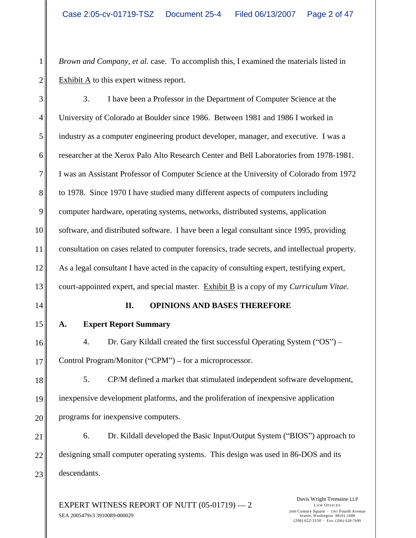1<sup>|</sup> *Brown and Company, et al.* case. To accomplish this, I examined the materials listed in  $2 \parallel$  Exhibit A to this expert witness report.

 3. I have been a Professor in the Department of Computer Science at the University of Colorado at Boulder since 1986. Between 1981 and 1986 I worked in industry as a computer engineering product developer, manager, and executive. I was a 6 cases researcher at the Xerox Palo Alto Research Center and Bell Laboratories from 1978-1981. I was an Assistant Professor of Computer Science at the University of Colorado from 1972 to 1978. Since 1970 I have studied many different aspects of computers including computer hardware, operating systems, networks, distributed systems, application 10 software, and distributed software. I have been a legal consultant since 1995, providing 11 consultation on cases related to computer forensics, trade secrets, and intellectual property. 12 As a legal consultant I have acted in the capacity of consulting expert, testifying expert, court-appointed expert, and special master. Exhibit B is a copy of my *Curriculum Vitae*.

#### 14 **II. OPINIONS AND BASES THEREFORE**

15 A. Expert Report Summary **A. Expert Report Summary**

16 4. Dr. Gary Kildall created the first successful Operating System ("OS") – 17 Control Program/Monitor ("CPM") – for a microprocessor.

18<sup> $\parallel$ </sup> 5. CP/M defined a market that stimulated independent software development, 19 inexpensive development platforms, and the proliferation of inexpensive application 20 programs for inexpensive computers.

 $21$  6. Dr. Kildall developed the Basic Input/Output System ("BIOS") approach to 22 designing small computer operating systems. This design was used in 86-DOS and its  $23$  descendants. descendants.

EXPERT WITNESS REPORT OF NUTT  $(05-01719) - 2$ <br>Davis Wright Tremaine LLP<br>2600 Century Square + 1501 Fourth Avenue SEA 2005479v3 3910089-000029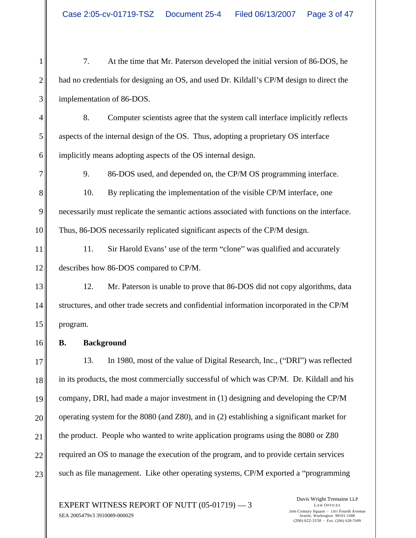1 7. At the time that Mr. Paterson developed the initial version of 86-DOS, he 2 had no credentials for designing an OS, and used Dr. Kildall's CP/M design to direct the 3 implementation of 86-DOS.

4 8. Computer scientists agree that the system call interface implicitly reflects 5 aspects of the internal design of the OS. Thus, adopting a proprietary OS interface 6 implicitly means adopting aspects of the OS internal design.

7 9. 86-DOS used, and depended on, the CP/M OS programming interface.

8<sup> $\parallel$ </sup> 10. By replicating the implementation of the visible CP/M interface, one 9 necessarily must replicate the semantic actions associated with functions on the interface. 10 Thus, 86-DOS necessarily replicated significant aspects of the CP/M design.

11 11. Sir Harold Evans' use of the term "clone" was qualified and accurately 12 describes how 86-DOS compared to CP/M.

13<sup>|</sup> 12. Mr. Paterson is unable to prove that 86-DOS did not copy algorithms, data 14 structures, and other trade secrets and confidential information incorporated in the CP/M 15 || program. program.

 $16$  **B.** Background **B. Background**

17 13. In 1980, most of the value of Digital Research, Inc., ("DRI") was reflected 18 in its products, the most commercially successful of which was CP/M. Dr. Kildall and his 19 company, DRI, had made a major investment in (1) designing and developing the CP/M 20 operating system for the 8080 (and Z80), and in (2) establishing a significant market for 21 the product. People who wanted to write application programs using the 8080 or Z80 22 required an OS to manage the execution of the program, and to provide certain services 23 such as file management. Like other operating systems, CP/M exported a "programming

EXPERT WITNESS REPORT OF NUTT  $(05-01719)$   $-3$   $^{2600 \text{ Century Square } \cdot 1501 \text{ Fourth Avenue}}$ SEA 2005479v3 3910089-000029

Davis Wright Tremaine LLP LAW OFFICES 2600 Century Square 1501 Fourth Avenue Seattle, Washington 98101-1688  $(206)$  622-3150 · Fax: (206) 628-7699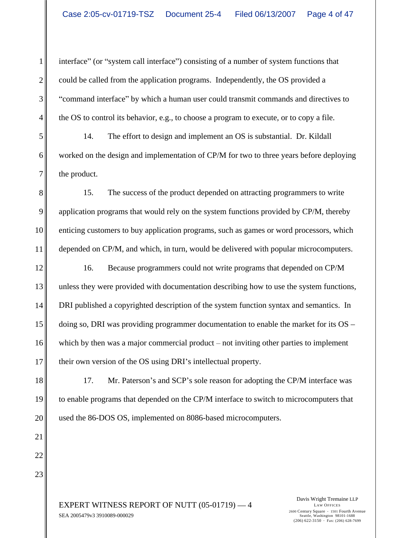1 interface" (or "system call interface") consisting of a number of system functions that 2 could be called from the application programs. Independently, the OS provided a 3 command interface" by which a human user could transmit commands and directives to 4 the OS to control its behavior, e.g., to choose a program to execute, or to copy a file.

5 14. The effort to design and implement an OS is substantial. Dr. Kildall 6 worked on the design and implementation of CP/M for two to three years before deploying  $7 \parallel$  the product. the product.

8<sup> $\parallel$ </sup> 15. The success of the product depended on attracting programmers to write 9 || application programs that would rely on the system functions provided by CP/M, thereby 10 enticing customers to buy application programs, such as games or word processors, which 11 depended on CP/M, and which, in turn, would be delivered with popular microcomputers.

12<sup> $\parallel$ </sup> 16. Because programmers could not write programs that depended on CP/M 13<sup> $\parallel$ </sup> unless they were provided with documentation describing how to use the system functions, 14 DRI published a copyrighted description of the system function syntax and semantics. In 15 doing so, DRI was providing programmer documentation to enable the market for its OS – 16 which by then was a major commercial product – not inviting other parties to implement 17 their own version of the OS using DRI's intellectual property.

18 17. Mr. Paterson's and SCP's sole reason for adopting the CP/M interface was 19 to enable programs that depended on the CP/M interface to switch to microcomputers that 20 used the 86-DOS OS, implemented on 8086-based microcomputers.

 $22 \parallel$  $23$ 

EXPERT WITNESS REPORT OF NUTT  $(05-01719) - 4$ <br>
<sup>LAW OFFICES</sup> SEA 2005479v3 3910089-000029

Davis Wright Tremaine LLP LAW OFFICES 2600 Century Square 1501 Fourth Avenue Seattle, Washington 98101-1688  $(206)$  622-3150 · Fax: (206) 628-7699

 $21$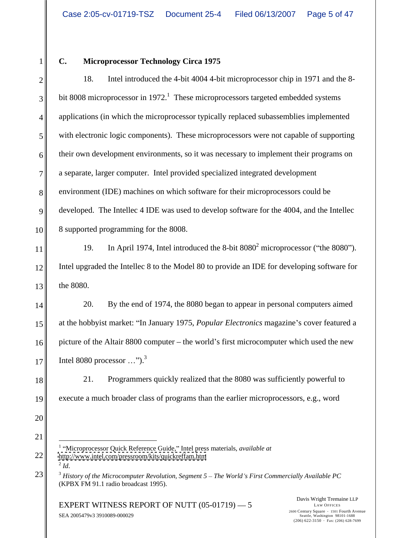$20$ 21  $\parallel$ 

#### 1 C. Microprocessor Technology Circa 1975

 $2 \parallel$  18. Intel introduced the 4-bit 4004 4-bit microprocessor chip in 1971 and the 8- $3 \parallel$  bit 8008 microprocessor in 1972.<sup>1</sup> These microprocessors targeted embedded systems 4 applications (in which the microprocessor typically replaced subassemblies implemented 5 with electronic logic components). These microprocessors were not capable of supporting 6 their own development environments, so it was necessary to implement their programs on 7 a separate, larger computer. Intel provided specialized integrated development 8 environment (IDE) machines on which software for their microprocessors could be 9 developed. The Intellec 4 IDE was used to develop software for the 4004, and the Intellec  $\vert$ 10 8 supported programming for the 8008. (2) **Microprocessor Technology Circa 1975**<br>
18. Task Task Task Task diffusion and 4-bit information and particular the state of myselic state interesting<br>
18. Task Task Task Conservative interesting the microprocessor Tay

11 199. In April 1974, Intel introduced the 8-bit  $8080^2$  microprocessor ("the  $8080$ "). 12 Intel upgraded the Intellec 8 to the Model 80 to provide an IDE for developing software for  $13$  the 8080. 19. In April 1974, Intel introduced the 8-bit 8080<sup>2</sup> microprocessor ("the 8080").<br>Intel upgraded the Intellec 8 to the Model 80 to provide an IDE for developing software for the  $8080$ .

14 20. By the end of 1974, the 8080 began to appear in personal computers aimed 15 at the hobbyist market: "In January 1975, *Popular Electronics* magazine's cover featured a 16 picture of the Altair 8800 computer – the world's first microcomputer which used the new  $17$  | lntel 8080 processor ...").<sup>3</sup> Intel 8080 processor  $\ldots$ ").<sup>3</sup>

18<sup> $\parallel$ </sup> 21. Programmers quickly realized that the 8080 was sufficiently powerful to 19 execute a much broader class of programs than the earlier microprocessors, e.g., word

*Id*.

<sup>22</sup>  $\text{http://www.intel.com/pressroom/kits/quickreffam.htm}$  $\text{http://www.intel.com/pressroom/kits/quickreffam.htm}$  $\text{http://www.intel.com/pressroom/kits/quickreffam.htm}$ <sup>1</sup> "Microprocessor Quick Reference Guide," Intel press materials, *available at*  $2\overline{d}$ 

<sup>23</sup> <sup>3</sup> *History of the Microcomputer Revolution, Segment 5 The World s First Commercially Available PC* (KPBX FM 91.1 radio broadcast 1995).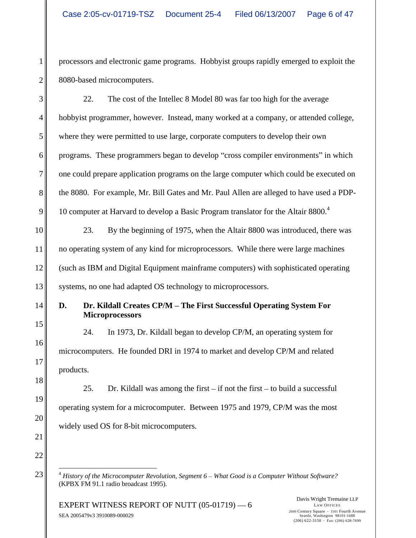1 processors and electronic game programs. Hobbyist groups rapidly emerged to exploit the 2 8080-based microcomputers.

3 22. The cost of the Intellec 8 Model 80 was far too high for the average 4 hobbyist programmer, however. Instead, many worked at a company, or attended college, 5 where they were permitted to use large, corporate computers to develop their own 6 || programs. These programmers began to develop "cross compiler environments" in which 7 one could prepare application programs on the large computer which could be executed on 8 the 8080. For example, Mr. Bill Gates and Mr. Paul Allen are alleged to have used a PDP-9 10 computer at Harvard to develop a Basic Program translator for the Altair 8800.<sup>4</sup>

10 23. By the beginning of 1975, when the Altair 8800 was introduced, there was 11 no operating system of any kind for microprocessors. While there were large machines 12 (such as IBM and Digital Equipment mainframe computers) with sophisticated operating 13<sup> $\parallel$ </sup> systems, no one had adapted OS technology to microprocessors.

# 14 **D.** Dr. Kildall Creates CP/M – The First Successful Operating System For **For Microprocessors**

 $15$  $16$  $17$ 24. In 1973, Dr. Kildall began to develop CP/M, an operating system for microcomputers. He founded DRI in 1974 to market and develop CP/M and related products.

 $\|3\|$  $19$  $20$ 25. Dr. Kildall was among the first  $-$  if not the first  $-$  to build a successful operating system for a microcomputer. Between 1975 and 1979, CP/M was the most widely used OS for 8-bit microcomputers.

23 <sup>23</sup> <sup>4</sup> *History of the Microcomputer Revolution, Segment 6 – What Good is a Computer Without Software?* (KPBX FM 91.1 radio broadcast 1995).

EXPERT WITNESS REPORT OF NUTT  $(05-01719)$   $-6$   $+6$   $+80$   $-6$   $+80$   $-6$   $+80$   $-6$   $+80$   $-6$   $+80$   $+80$   $+80$   $+80$   $+80$   $+80$   $+80$   $+80$   $+80$   $+80$   $+80$   $+80$   $+80$   $+80$   $+80$   $+80$   $+80$   $+80$   $+80$   $+80$   $+80$ SEA 2005479v3 3910089-000029

Davis Wright Tremaine LLP LAW OFFICES 2600 Century Square 1501 Fourth Avenue Seattle, Washington 98101-1688  $(206)$  622-3150 · Fax: (206) 628-7699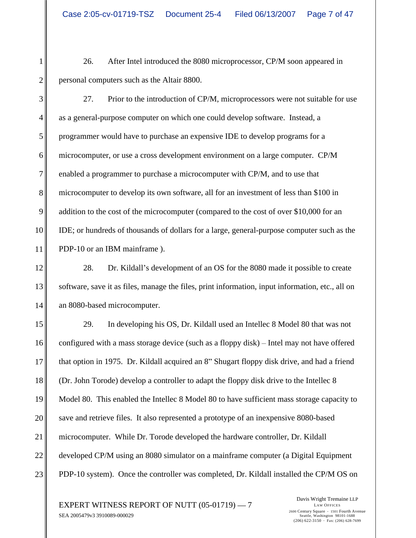1 26. After Intel introduced the 8080 microprocessor, CP/M soon appeared in 2 personal computers such as the Altair 8800.

3<sup>|</sup> 27. Prior to the introduction of CP/M, microprocessors were not suitable for use 4 as a general-purpose computer on which one could develop software. Instead, a 5 programmer would have to purchase an expensive IDE to develop programs for a 6 microcomputer, or use a cross development environment on a large computer. CP/M 7 enabled a programmer to purchase a microcomputer with CP/M, and to use that 8 microcomputer to develop its own software, all for an investment of less than \$100 in 9 addition to the cost of the microcomputer (compared to the cost of over \$10,000 for an 10 **IDE**; or hundreds of thousands of dollars for a large, general-purpose computer such as the 11 PDP-10 or an IBM mainframe ).

12<sup> $\parallel$ </sup> 28. Dr. Kildall's development of an OS for the 8080 made it possible to create 13 software, save it as files, manage the files, print information, input information, etc., all on 14 an 8080-based microcomputer.

 29. In developing his OS, Dr. Kildall used an Intellec 8 Model 80 that was not 16 configured with a mass storage device (such as a floppy disk) – Intel may not have offered 17 that option in 1975. Dr. Kildall acquired an 8" Shugart floppy disk drive, and had a friend (Dr. John Torode) develop a controller to adapt the floppy disk drive to the Intellec 8 Model 80. This enabled the Intellec 8 Model 80 to have sufficient mass storage capacity to save and retrieve files. It also represented a prototype of an inexpensive 8080-based microcomputer. While Dr. Torode developed the hardware controller, Dr. Kildall developed CP/M using an 8080 simulator on a mainframe computer (a Digital Equipment 23 PDP-10 system). Once the controller was completed, Dr. Kildall installed the CP/M OS on

EXPERT WITNESS REPORT OF NUTT  $(05-01719) - 7$ <br>2600 Century Square  $\cdot$  1501 Fourth Avenue SEA 2005479v3 3910089-000029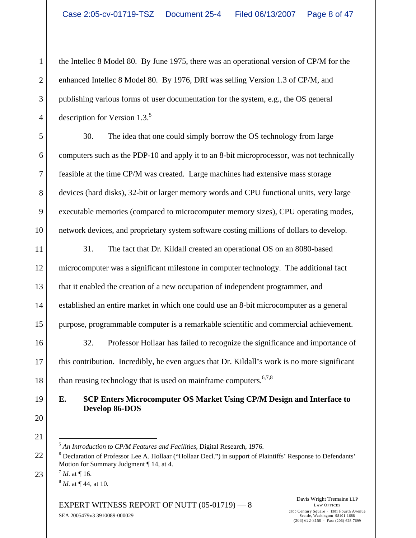1 the Intellec 8 Model 80. By June 1975, there was an operational version of CP/M for the 2 || enhanced Intellec 8 Model 80. By 1976, DRI was selling Version 1.3 of CP/M, and 3 publishing various forms of user documentation for the system, e.g., the OS general 4 description for Version 1.3.<sup>5</sup> description for Version 1.3.<sup>5</sup>

5 30. The idea that one could simply borrow the OS technology from large 6 computers such as the PDP-10 and apply it to an 8-bit microprocessor, was not technically 7 feasible at the time CP/M was created. Large machines had extensive mass storage 8 devices (hard disks), 32-bit or larger memory words and CPU functional units, very large 9 executable memories (compared to microcomputer memory sizes), CPU operating modes, 10 network devices, and proprietary system software costing millions of dollars to develop.

11 31. The fact that Dr. Kildall created an operational OS on an 8080-based 12<sup> $\parallel$ </sup> microcomputer was a significant milestone in computer technology. The additional fact 13<sup> $\parallel$ </sup> that it enabled the creation of a new occupation of independent programmer, and 14 established an entire market in which one could use an 8-bit microcomputer as a general 15 purpose, programmable computer is a remarkable scientific and commercial achievement.

16 32. Professor Hollaar has failed to recognize the significance and importance of 17 this contribution. Incredibly, he even argues that Dr. Kildall's work is no more significant 18 than reusing technology that is used on mainframe computers.<sup>6,7,8</sup>

# 19 **E. SCP Enters Microcomputer OS Market Using CP/M Design and Interface to Develop 86-DOS**

5  *An Introduction to CP/M Features and Facilities*, Digital Research, 1976.

 $23$  ||  $7$  Id. at \| 16.  $7 \text{ L}$  of  $\blacksquare$  16 *Id*. at ¶ 16.  $\frac{8}{3}$  Id of  $\Box A$  of 10 *Id*. at ¶ 44, at 10.

EXPERT WITNESS REPORT OF NUTT  $(05-01719)$   $- 8$  Davis Wright Tremaine LLP<br>
LAW OFFICES SEA 2005479v3 3910089-000029

<sup>22 | &</sup>lt;sup>6</sup> Declaration of Professor Lee A. Hollaar ("Hollaar Decl.") in support of Plaintiffs' Response to Defendants' Motion for Summary Judgment ¶ 14, at 4.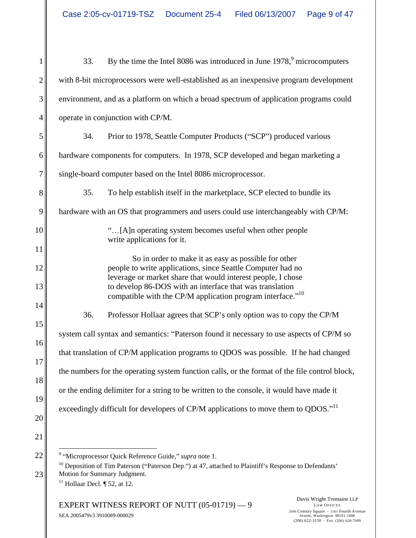| 33. By the time the Intel 8086 was introduced in June 1978, <sup>9</sup> microcomputers                                                                                                                                                                                                                                   |
|---------------------------------------------------------------------------------------------------------------------------------------------------------------------------------------------------------------------------------------------------------------------------------------------------------------------------|
| with 8-bit microprocessors were well-established as an inexpensive program development                                                                                                                                                                                                                                    |
| environment, and as a platform on which a broad spectrum of application programs could                                                                                                                                                                                                                                    |
| operate in conjunction with CP/M.                                                                                                                                                                                                                                                                                         |
| 34. Prior to 1978, Seattle Computer Products ("SCP") produced various                                                                                                                                                                                                                                                     |
| hardware components for computers. In 1978, SCP developed and began marketing a                                                                                                                                                                                                                                           |
| single-board computer based on the Intel 8086 microprocessor.                                                                                                                                                                                                                                                             |
| 35.<br>To help establish itself in the marketplace, SCP elected to bundle its                                                                                                                                                                                                                                             |
| hardware with an OS that programmers and users could use interchangeably with CP/M:                                                                                                                                                                                                                                       |
| "[A]n operating system becomes useful when other people<br>write applications for it.                                                                                                                                                                                                                                     |
| So in order to make it as easy as possible for other<br>people to write applications, since Seattle Computer had no<br>leverage or market share that would interest people, I chose<br>to develop 86-DOS with an interface that was translation<br>compatible with the CP/M application program interface." <sup>10</sup> |
| Professor Hollaar agrees that SCP's only option was to copy the CP/M<br>36.                                                                                                                                                                                                                                               |
| system call syntax and semantics: "Paterson found it necessary to use aspects of CP/M so                                                                                                                                                                                                                                  |
| that translation of CP/M application programs to QDOS was possible. If he had changed                                                                                                                                                                                                                                     |
| the numbers for the operating system function calls, or the format of the file control block,                                                                                                                                                                                                                             |
| or the ending delimiter for a string to be written to the console, it would have made it                                                                                                                                                                                                                                  |
| exceedingly difficult for developers of CP/M applications to move them to QDOS." <sup>11</sup>                                                                                                                                                                                                                            |
|                                                                                                                                                                                                                                                                                                                           |
| <sup>9</sup> "Microprocessor Quick Reference Guide," <i>supra</i> note 1.                                                                                                                                                                                                                                                 |
| <sup>10</sup> Deposition of Tim Paterson ("Paterson Dep.") at 47, attached to Plaintiff's Response to Defendants'                                                                                                                                                                                                         |

23 Motion for Summary Judgment. <sup>11</sup> Hollaar Decl.  $\P$  52, at 12.

EXPERT WITNESS REPORT OF NUTT (05-01719) - 9<br>LAW OFFICES SEA 2005479v3 3910089-000029 2600 Century Square 1501 Fourth Avenue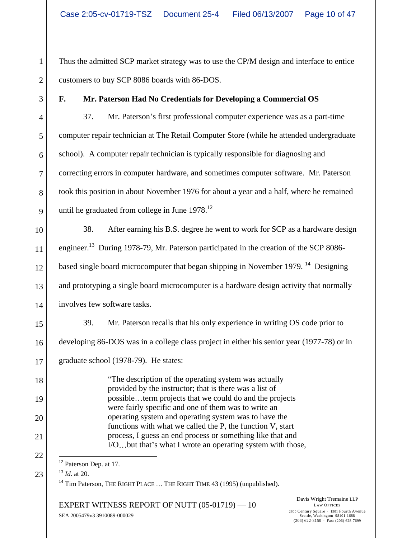1 Thus the admitted SCP market strategy was to use the CP/M design and interface to entice 2 customers to buy SCP 8086 boards with 86-DOS.

# 3 **F. Mr. Paterson Had No Credentials for Developing a Commercial OS**

4 37. Mr. Paterson's first professional computer experience was as a part-time 5 computer repair technician at The Retail Computer Store (while he attended undergraduate 6 school). A computer repair technician is typically responsible for diagnosing and 7 correcting errors in computer hardware, and sometimes computer software. Mr. Paterson 8 took this position in about November 1976 for about a year and a half, where he remained 9 | until he graduated from college in June  $1978$ .<sup>12</sup>

10 38. After earning his B.S. degree he went to work for SCP as a hardware design 11 engineer.<sup>13</sup> During 1978-79, Mr. Paterson participated in the creation of the SCP 8086- $12 \parallel$  based single board microcomputer that began shipping in November 1979.<sup>14</sup> Designing 13 and prototyping a single board microcomputer is a hardware design activity that normally 14 involves few software tasks. Designing and the Designing involves few software tasks.

15 39. Mr. Paterson recalls that his only experience in writing OS code prior to

16 developing 86-DOS was in a college class project in either his senior year (1977-78) or in

17 graduate school (1978-79). He states:

18<sup>|</sup> <sup>The description of the operating system was actually **The set of the operation** system was actually</sup> 19 possible...term projects that we could do and the projects 20 operating system and operating system was to have the 21 process, I guess an end process or something like that and provided by the instructor; that is there was a list of were fairly specific and one of them was to write an functions with what we called the P, the function V, start  $I/O$ ...but that's what I wrote an operating system with those,

 $23 \parallel$   $\frac{13}{2}$  *Id.* at 20. <sup>13</sup> *Id*. at 20.

 $14$  Tim Paterson, THE RIGHT PLACE  $\ldots$  THE RIGHT TIME 43 (1995) (unpublished).

 $\text{EXPERT}$  WITNESS REPORT OF NUTT  $(05\n-01719)$   $-10$   $^{2600 \text{ Century Square } \cdot 1501 \text{ Fourth Avenue}}$ SEA 2005479v3 3910089-000029

Davis Wright Tremaine LLP LAW OFFICES 2600 Century Square 1501 Fourth Avenue Seattle, Washington 98101-1688  $(206)$  622-3150 · Fax: (206) 628-7699

 $22$   $\parallel$   $\qquad$  $\frac{12}{12}$  Paterson Dep. at 17.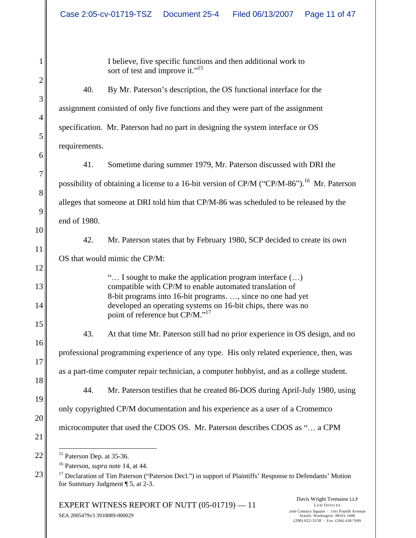1 I believe, five specific functions and then additional work to sort of test and improve it."<sup>15</sup>

 $3\parallel$  $\|A\|$  $5\|$ 40. By Mr. Paterson's description, the OS functional interface for the assignment consisted of only five functions and they were part of the assignment specification. Mr. Paterson had no part in designing the system interface or OS requirements.

 $6\|$  $7 \parallel$  $8 \parallel$  $9$  $10$ 41. Sometime during summer 1979, Mr. Paterson discussed with DRI the possibility of obtaining a license to a 16-bit version of CP/M ("CP/M-86").<sup>16</sup> Mr. Paterson alleges that someone at DRI told him that CP/M-86 was scheduled to be released by the end of 1980.

 $11$ 42. Mr. Paterson states that by February 1980, SCP decided to create its own OS that would mimic the CP/M:

 $12$ 

13<sup>|</sup> compatible with CP/M to enable automated translation of 14<sup> $\parallel$ </sup> developed an operating systems on 16-bit chips, there was no  $\ldots$  I sought to make the application program interface  $(\ldots)$ 8-bit programs into 16-bit programs. ..., since no one had yet point of reference but CP/M."<sup>17</sup>

 $16$  $17$  $\|3\|$  $19$ 43. At that time Mr. Paterson still had no prior experience in OS design, and no professional programming experience of any type. His only related experience, then, was as a part-time computer repair technician, a computer hobbyist, and as a college student. 44. Mr. Paterson testifies that he created 86-DOS during April-July 1980, using

 $20$ only copyrighted CP/M documentation and his experience as a user of a Cromemco

microcomputer that used the CDOS OS. Mr. Paterson describes CDOS as "... a CPM

 $22 \parallel$  <sup>15</sup> Paterson Dep. at 35-36.  $\frac{15}{15}$  Paterson Dep. at 35-36.

<sup>16</sup> Paterson, *supra* note 14, at 44.

 $23$   $\parallel$   $\parallel$  <sup>17</sup> Declaration of Tim Paterson ("Paterson Decl.") in support of Plaintiffs' Response to Defendants' Motion for Summary Judgment ¶ 5, at 2-3.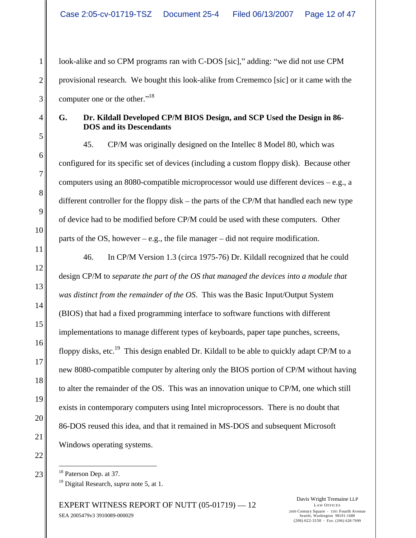1 || look-alike and so CPM programs ran with C-DOS [sic]," adding: "we did not use CPM 2 || provisional research. We bought this look-alike from Crememco [sic] or it came with the  $3\degree$  computer one or the other."<sup>18</sup> computer one or the other. $18$ <sup>18</sup>

# 4 **G. Dr. Kildall Developed CP/M BIOS Design, and SCP Used the Design in 86- DOS and its Descendants**

 $5\|$  $6\|$  $7 \parallel$  $8 \parallel$  $9$  $10$ 45. CP/M was originally designed on the Intellec 8 Model 80, which was configured for its specific set of devices (including a custom floppy disk). Because other computers using an 8080-compatible microprocessor would use different devices  $-e.g., a$ different controller for the floppy disk – the parts of the CP/M that handled each new type of device had to be modified before CP/M could be used with these computers. Other parts of the OS, however  $-e.g.,$  the file manager  $-did$  not require modification.

 $11$   $\parallel$  $12$  $\|3\|$  $14$  $15$  $\frac{16}{16}$  $17$  $\|3\|$  $19$  $20$  $21$ 46. In CP/M Version 1.3 (circa 1975-76) Dr. Kildall recognized that he could design CP/M to *separate the part of the OS that managed the devices into a module that was distinct from the remainder of the OS*. This was the Basic Input/Output System (BIOS) that had a fixed programming interface to software functions with different implementations to manage different types of keyboards, paper tape punches, screens, floppy disks, etc.<sup>19</sup> This design enabled Dr. Kildall to be able to quickly adapt CP/M to a new 8080-compatible computer by altering only the BIOS portion of CP/M without having to alter the remainder of the OS. This was an innovation unique to CP/M, one which still exists in contemporary computers using Intel microprocessors. There is no doubt that 86-DOS reused this idea, and that it remained in MS-DOS and subsequent Microsoft Windows operating systems.

 $23$   $\parallel$   $\parallel$  <sup>18</sup> Paterson Dep. at 37. <sup>18</sup> Paterson Dep. at 37.

19 Digital Research, *supra* note 5, at 1.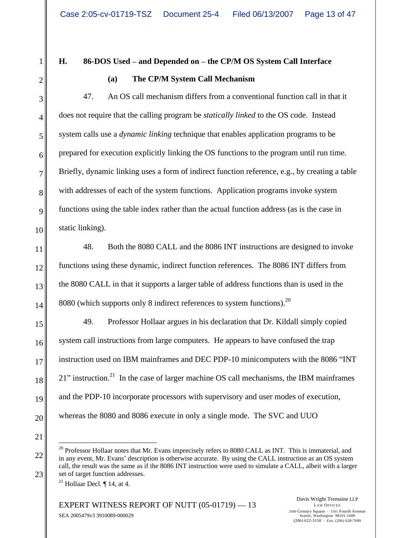$1$  H. 86-DOS Used – and Depended on – the CP/M OS System Call Interface

#### $2\parallel$  (a) The CP/M System Call Mechanism **(a) The CP/M System Call Mechanism**

 $3 \parallel 47.$  An OS call mechanism differs from a conventional function call in that it 4 does not require that the calling program be *statically linked* to the OS code. Instead 5 system calls use a *dynamic linking* technique that enables application programs to be  $6 \parallel$  prepared for execution explicitly linking the OS functions to the program until run time. prepared for execution explicitly linking the OS functions to the program until run time.<br>Briefly, dynamic linking uses a form of indirect function reference, e.g., by creating a table 8 with addresses of each of the system functions. Application programs invoke system 9 functions using the table index rather than the actual function address (as is the case in 10 static linking). **H.** 86-DOS Used – and Depended on – the CP/M OS System Call Interface<br>
(a) The CP/M System Call Mechanism (and Top dependent on the CP/M of the CP/M System Call Interface<br>
47. As OS call mechanism differs from a conventi static linking).

11 48. Both the 8080 CALL and the 8086 INT instructions are designed to invoke 12 functions using these dynamic, indirect function references. The 8086 INT differs from 13 the 8080 CALL in that it supports a larger table of address functions than is used in the  $14 \parallel 8080$  (which supports only 8 indirect references to system functions).<sup>20</sup>

15 49. Professor Hollaar argues in his declaration that Dr. Kildall simply copied 16 system call instructions from large computers. He appears to have confused the trap 17 instruction used on IBM mainframes and DEC PDP-10 minicomputers with the 8086 "INT  $18$  21" instruction.<sup>21</sup> In the case of larger machine OS call mechanisms, the IBM mainframes 19 and the PDP-10 incorporate processors with supervisory and user modes of execution, 20 whereas the 8080 and 8086 execute in only a single mode. The SVC and UUO

 $21$ 

 $22 \parallel$  in any event, Mr. Evans' description is otherwise accurate. By using the CALL instruction as an OS system 23 set of target function addresses. <sup>20</sup> Professor Hollaar notes that Mr. Evans imprecisely refers to 8080 CALL as INT. This is immaterial, and call, the result was the same as if the 8086 INT instruction were used to simulate a CALL, albeit with a larger

<sup>&</sup>lt;sup>21</sup> Hollaar Decl.  $\P$  14, at 4.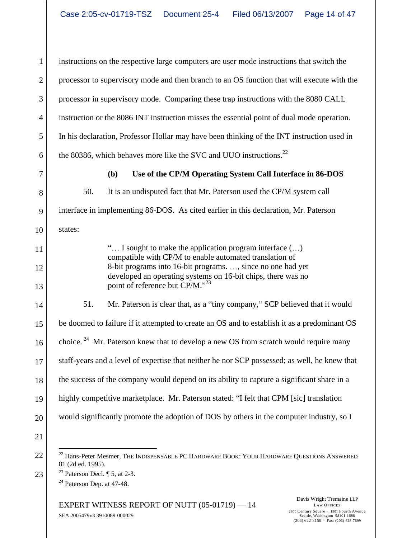1 instructions on the respective large computers are user mode instructions that switch the 2 || processor to supervisory mode and then branch to an OS function that will execute with the 3 processor in supervisory mode. Comparing these trap instructions with the 8080 CALL 4 instruction or the 8086 INT instruction misses the essential point of dual mode operation. 5 In his declaration, Professor Hollar may have been thinking of the INT instruction used in 6 the 80386, which behaves more like the SVC and UUO instructions.<sup>22</sup> 7 **(b) Use of the CP/M Operating System Call Interface in 86-DOS** 8<sup>orm</sup> 50. It is an undisputed fact that Mr. Paterson used the CP/M system call 9 interface in implementing 86-DOS. As cited earlier in this declaration, Mr. Paterson 10 states: 11  $\parallel$  "... I sought to make the application program interface (...) 12 8-bit programs into 16-bit programs. ..., since no one had yet 13 point of reference but CP/M.<sup>323</sup> 14 51. Mr. Paterson is clear that, as a "tiny company," SCP believed that it would 15 be doomed to failure if it attempted to create an OS and to establish it as a predominant OS  $16 \parallel$  choice.<sup>24</sup> Mr. Paterson knew that to develop a new OS from scratch would require many 17 staff-years and a level of expertise that neither he nor SCP possessed; as well, he knew that 18 the success of the company would depend on its ability to capture a significant share in a 19 highly competitive marketplace. Mr. Paterson stated: "I felt that CPM [sic] translation 20 would significantly promote the adoption of DOS by others in the computer industry, so I  $21$  $22 \big\|$   $\big\|$   $\big\|$   $\big\|$   $\big\|$   $\big\|$   $\big\|$   $\big\|$   $\big\|$   $\big\|$   $\big\|$   $\big\|$   $\big\|$   $\big\|$   $\big\|$   $\big\|$   $\big\|$   $\big\|$   $\big\|$   $\big\|$   $\big\|$   $\big\|$   $\big\|$   $\big\|$   $\big\|$   $\big\|$   $\big\|$   $\big\|$   $\big\|$   $\big\|$   $\big\|$   $\$  $23$  Paterson Decl.  $\sqrt{ }5$ , at 2-3. states: compatible with CP/M to enable automated translation of developed an operating systems on 16-bit chips, there was no 81 (2d ed. 1995). <sup>23</sup> Paterson Decl.  $\P$  5, at 2-3.  $24$  Paterson Dep. at 47-48.

EXPERT WITNESS REPORT OF NUTT  $(05-01719) - 14$ <br>2600 Century Square  $\cdot$  1501 Fourth Avenue SEA 2005479v3 3910089-000029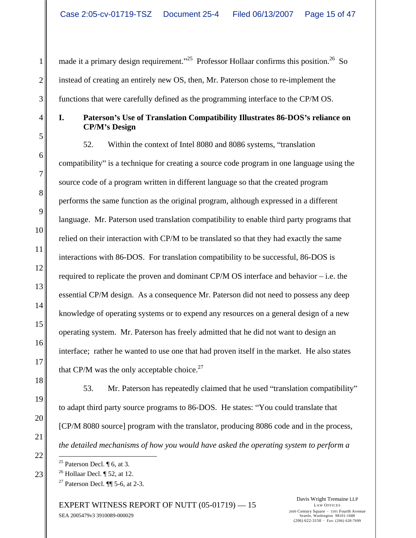1 made it a primary design requirement.<sup>25</sup> Professor Hollaar confirms this position.<sup>26</sup> So 2 instead of creating an entirely new OS, then, Mr. Paterson chose to re-implement the 3 functions that were carefully defined as the programming interface to the CP/M OS. So a set of the set of  $\sim$ 

4 **I. Paterson s Use of Translation Compatibility Illustrates 86-DOS s reliance on**  $5\|$ **CP/M s Design**

 $6\|$  $7 \parallel$  $8 \parallel$  $9$  $10$  $11$  $12$  $\|3\|$  $14$  $15$  $16$  $\|7\|$ made it a primary design requirement.<sup>1923</sup> Professor Hollan confurts this presion.<sup>25</sup> Faxime that were carefully defined as the programming interfactors the context factors of the problem of the prior of the primary des 52. Within the context of Intel 8080 and 8086 systems, "translation" compatibility" is a technique for creating a source code program in one language using the source code of a program written in different language so that the created program performs the same function as the original program, although expressed in a different language. Mr. Paterson used translation compatibility to enable third party programs that relied on their interaction with CP/M to be translated so that they had exactly the same interactions with 86-DOS. For translation compatibility to be successful, 86-DOS is required to replicate the proven and dominant CP/M OS interface and behavior  $-$  i.e. the essential CP/M design. As a consequence Mr. Paterson did not need to possess any deep knowledge of operating systems or to expend any resources on a general design of a new operating system. Mr. Paterson has freely admitted that he did not want to design an interface; rather he wanted to use one that had proven itself in the market. He also states that CP/M was the only acceptable choice.<sup>27</sup>

 $\|3\|$  $19$  $20$  $21$ 53. Mr. Paterson has repeatedly claimed that he used "translation compatibility" to adapt third party source programs to 86-DOS. He states: You could translate that [CP/M 8080 source] program with the translator, producing 8086 code and in the process, *the detailed mechanisms of how you would have asked the operating system to perform a* 

EXPERT WITNESS REPORT OF NUTT  $(05-01719) - 15$ <br>2600 Century Square  $\cdot$  1501 Fourth Avenue SEA 2005479v3 3910089-000029

Davis Wright Tremaine LLP LAW OFFICES 2600 Century Square 1501 Fourth Avenue Seattle, Washington 98101-1688

 $\frac{25}{25}$  Paterson Decl.  $\sqrt{\ }$  6, at 3.

 $23$   $\parallel$   $26$  Hollaar Decl.  $\parallel$  52, at 12. <sup>26</sup> Hollaar Decl.  $\P$  52, at 12.

<sup>&</sup>lt;sup>27</sup> Paterson Decl. **[1]** 5-6, at 2-3.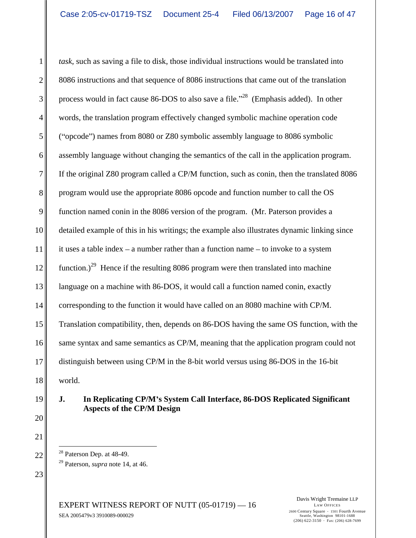1 task, such as saving a file to disk, those individual instructions would be translated into 2 8086 instructions and that sequence of 8086 instructions that came out of the translation 3 process would in fact cause 86-DOS to also save a file.<sup> $28$ </sup> (Emphasis added). In other 4 words, the translation program effectively changed symbolic machine operation code 5 Copcode" names from 8080 or Z80 symbolic assembly language to 8086 symbolic 6 assembly language without changing the semantics of the call in the application program. 7 If the original Z80 program called a CP/M function, such as conin, then the translated 8086 8 program would use the appropriate 8086 opcode and function number to call the OS 9 function named conin in the 8086 version of the program. (Mr. Paterson provides a 10 detailed example of this in his writings; the example also illustrates dynamic linking since 11 it uses a table index – a number rather than a function name – to invoke to a system 12  $\parallel$  function.)<sup>29</sup> Hence if the resulting 8086 program were then translated into machine 13<sup> $\parallel$ </sup> language on a machine with 86-DOS, it would call a function named conin, exactly 14 corresponding to the function it would have called on an 8080 machine with CP/M. 15 Translation compatibility, then, depends on 86-DOS having the same OS function, with the 16 same syntax and same semantics as CP/M, meaning that the application program could not 17 distinguish between using CP/M in the 8-bit world versus using 86-DOS in the 16-bit  $18$  world. world.

# 19 **J. In Replicating CP/M s System Call Interface, 86-DOS Replicated Significant Aspects of the CP/M Design**

- $22 \parallel$  <sup>26</sup> Paterson Dep. at 48-49.  $\frac{28}{28}$  Paterson Dep. at 48-49.
	- 29 Paterson, *supra* note 14, at 46.

EXPERT WITNESS REPORT OF NUTT  $(05-01719) - 16$  LAW OFFICES<br>2600 Century Square  $\cdot$  1501 Fourth Avenue SEA 2005479v3 3910089-000029

Davis Wright Tremaine LLP LAW OFFICES 2600 Century Square 1501 Fourth Avenue Seattle, Washington 98101-1688  $(206)$  622-3150 · Fax: (206) 628-7699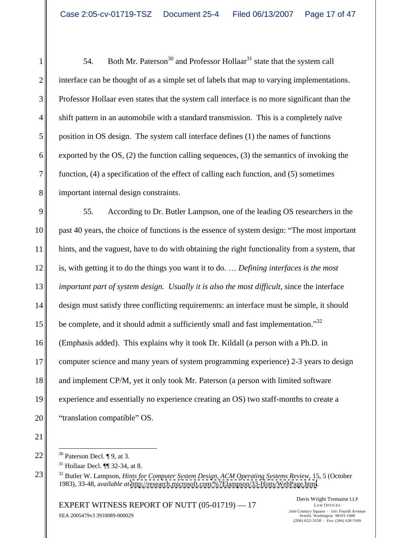54. Both Mr. Paterson<sup>30</sup> and Professor Hollaar<sup>31</sup> state that the system call 2 interface can be thought of as a simple set of labels that map to varying implementations. Professor Hollaar even states that the system call interface is no more significant than the shift pattern in an automobile with a standard transmission. This is a completely naïve position in OS design. The system call interface defines (1) the names of functions 6 exported by the OS, (2) the function calling sequences, (3) the semantics of invoking the function, (4) a specification of the effect of calling each function, and (5) sometimes important internal design constraints.

9 55. According to Dr. Butler Lampson, one of the leading OS researchers in the 10 past 40 years, the choice of functions is the essence of system design: "The most important 11 hints, and the vaguest, have to do with obtaining the right functionality from a system, that 12<sup> $\parallel$ </sup> is, with getting it to do the things you want it to do. ... Defining interfaces is the most 13 *important part of system design. Usually it is also the most difficult*, since the interface 14 design must satisfy three conflicting requirements: an interface must be simple, it should  $15$  be complete, and it should admit a sufficiently small and fast implementation.<sup>32</sup> 15<br>
be complete, and it should admit a sufficiently small and fast implementation."<sup>32</sup><br>
16<br>
(Emphasis added). This explains why it took Dr. Kildall (a person with a Ph.D. in 17 computer science and many years of system programming experience) 2-3 years to design 18 and implement CP/M, yet it only took Mr. Paterson (a person with limited software 19 experience and essentially no experience creating an OS) two staff-months to create a 20 || "translation compatible" OS.

 $21$ 

 $31$  Hollaar Decl.  $\P$  32-34, at 8.

EXPERT WITNESS REPORT OF NUTT (05-01719) - 17<br>
EXPERT WITNESS REPORT OF NUTT (05-01719) - 17 SEA 2005479v3 3910089-000029

Davis Wright Tremaine LLP LAW OFFICES 2600 Century Square 1501 Fourth Avenue Seattle, Washington 98101-1688  $(206)$  622-3150 · Fax: (206) 628-7699

 $22 \parallel$   $30$  Paterson Decl.  $\parallel$  9, at 3.  $\frac{30}{30}$  Paterson Decl.  $\sqrt{9}$ , at 3.

<sup>23</sup> 32 Butler W. Lampson, *Hints for Computer System Design, ACM Operating Systems Review*, 15, 5 (October 1983), 33-48, a*vailable at* <http://research.microsoft.com/%7Elampson/33-Hints/WebPage.html>.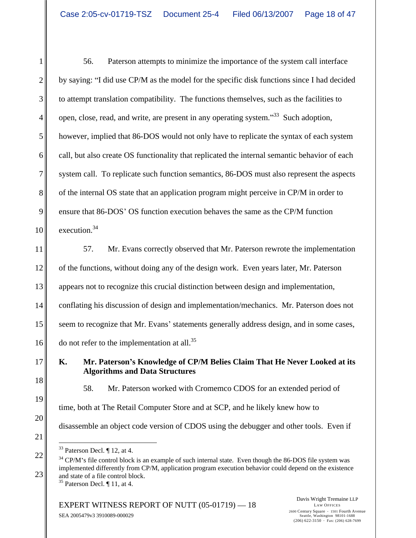1 56. Paterson attempts to minimize the importance of the system call interface 2 by saying: "I did use CP/M as the model for the specific disk functions since I had decided 3 to attempt translation compatibility. The functions themselves, such as the facilities to  $4 \parallel$  open, close, read, and write, are present in any operating system."<sup>33</sup> Such adoption,  $\begin{bmatrix} 4 \end{bmatrix}$  open, close, read, and write, are present in any operating system."<sup>33</sup> Such adoption,<br>however, implied that 86-DOS would not only have to replicate the syntax of each system 6 || call, but also create OS functionality that replicated the internal semantic behavior of each 7 system call. To replicate such function semantics, 86-DOS must also represent the aspects 8 of the internal OS state that an application program might perceive in CP/M in order to 9 ensure that 86-DOS' OS function execution behaves the same as the CP/M function  $10$  execution.<sup>34</sup> execution.<sup>34</sup>

11 57. Mr. Evans correctly observed that Mr. Paterson rewrote the implementation 12 of the functions, without doing any of the design work. Even years later, Mr. Paterson 13 appears not to recognize this crucial distinction between design and implementation, 13<br>appears not to recognize this crucial distinction between design and implementation,<br>14<br>conflating his discussion of design and implementation/mechanics. Mr. Paterson does not 15 seem to recognize that Mr. Evans' statements generally address design, and in some cases, 16 do not refer to the implementation at all.<sup>35</sup>

17 **K. Mr. Paterson s Knowledge of CP/M Belies Claim That He Never Looked at its Algorithms and Data Structures**

 $\|3\|$  $19$  $20$ 58. Mr. Paterson worked with Cromemco CDOS for an extended period of time, both at The Retail Computer Store and at SCP, and he likely knew how to disassemble an object code version of CDOS using the debugger and other tools. Even if

<sup>&</sup>lt;sup>33</sup> Paterson Decl.  $\P$  12, at 4.<br><sup>34</sup> CP/M's file control block is an example of such internal state. Even though the 86-DOS file system was  $23$  and state of a file control block. <sup>33</sup> Paterson Decl. ¶ 12, at 4.<br><sup>34</sup> CP/M's file control block is an example of such internal state. Even though the 86-DOS file system was implemented differently from CP/M, application program execution behavior could depend on the existence and state of a file control block.<br> $35$  Paterson Decl.  $\P$  11, at 4.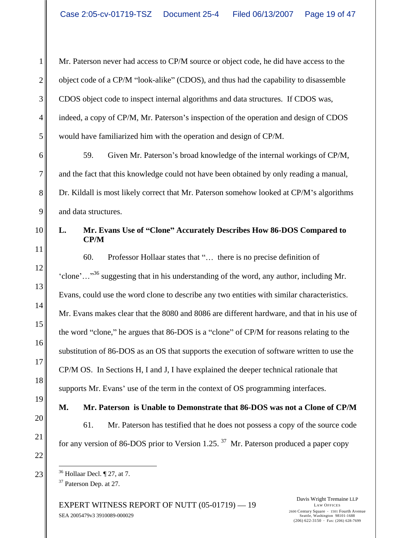1 Mr. Paterson never had access to CP/M source or object code, he did have access to the 2 || object code of a CP/M "look-alike" (CDOS), and thus had the capability to disassemble 3 CDOS object code to inspect internal algorithms and data structures. If CDOS was, 4 indeed, a copy of CP/M, Mr. Paterson's inspection of the operation and design of CDOS 5 would have familiarized him with the operation and design of CP/M.

6 6 59. Given Mr. Paterson's broad knowledge of the internal workings of CP/M, 7 and the fact that this knowledge could not have been obtained by only reading a manual, 8 Dr. Kildall is most likely correct that Mr. Paterson somehow looked at CP/M's algorithms  $9 \parallel$  and data structures. and data structures.

# 10 **L. Mr. Evans Use of Clone Accurately Describes How 86-DOS Compared to CP/M**

 $11$   $\parallel$  $\|12\|$  $\|3\|$  $14$  $15$  $16$  $17$  $\|3\|$ Mr. Paterson never had access to CPM source or object code, he did have access to the<br>object code of a CPM Not-alike" (CDOS), and thus had the cupobility of disasements<br>CDOS object code to inepert internal algorithms and 60. Professor Hollaar states that "... there is no precise definition of 'clone'..."<sup>36</sup> suggesting that in his understanding of the word, any author, including Mr. Evans, could use the word clone to describe any two entities with similar characteristics. Mr. Evans makes clear that the 8080 and 8086 are different hardware, and that in his use of the word "clone," he argues that 86-DOS is a "clone" of CP/M for reasons relating to the substitution of 86-DOS as an OS that supports the execution of software written to use the CP/M OS. In Sections H, I and J, I have explained the deeper technical rationale that supports Mr. Evans' use of the term in the context of OS programming interfaces.

 $19$ **M. Mr. Paterson is Unable to Demonstrate that 86-DOS was not a Clone of CP/M**

 $20$ 21  $\parallel$  for any version of 86-DOS prior to Version 1.25.<sup>37</sup> Mr. Paterson produced a paper copy 61. Mr. Paterson has testified that he does not possess a copy of the source code

EXPERT WITNESS REPORT OF NUTT  $(05-01719) - 19$ <br>2600 Century Square  $\cdot$  1501 Fourth Avenue SEA 2005479v3 3910089-000029

Davis Wright Tremaine LLP LAW OFFICES 2600 Century Square 1501 Fourth Avenue Seattle, Washington 98101-1688

 $23$   $\parallel$   $\parallel$   $^{36}$  Hollaar Decl.  $\parallel$  27, at 7.  $\frac{36}{100}$  Hollaar Decl.  $\sqrt{27}$ , at 7. <sup>37</sup> Paterson Dep. at 27.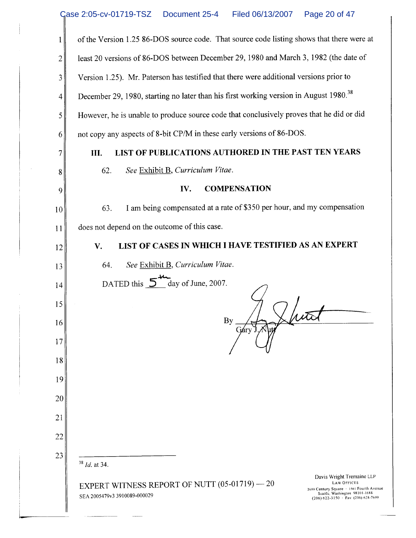|    | of the Version 1.25 86-DOS source code. That source code listing shows that there were at                                                                                                                                                                   |
|----|-------------------------------------------------------------------------------------------------------------------------------------------------------------------------------------------------------------------------------------------------------------|
| 2  | least 20 versions of 86-DOS between December 29, 1980 and March 3, 1982 (the date of                                                                                                                                                                        |
| 3  | Version 1.25). Mr. Paterson has testified that there were additional versions prior to                                                                                                                                                                      |
| 4  | December 29, 1980, starting no later than his first working version in August 1980. <sup>38</sup>                                                                                                                                                           |
| 5  | However, he is unable to produce source code that conclusively proves that he did or did                                                                                                                                                                    |
| 6  | not copy any aspects of 8-bit CP/M in these early versions of 86-DOS.                                                                                                                                                                                       |
|    | LIST OF PUBLICATIONS AUTHORED IN THE PAST TEN YEARS<br>III.                                                                                                                                                                                                 |
| 8  | See Exhibit B, Curriculum Vitae.<br>62.                                                                                                                                                                                                                     |
| 9  | <b>COMPENSATION</b><br>IV.                                                                                                                                                                                                                                  |
| 10 | I am being compensated at a rate of \$350 per hour, and my compensation<br>63.                                                                                                                                                                              |
| 11 | does not depend on the outcome of this case.                                                                                                                                                                                                                |
| 12 | LIST OF CASES IN WHICH I HAVE TESTIFIED AS AN EXPERT<br>V.                                                                                                                                                                                                  |
| 13 | See Exhibit B, Curriculum Vitae.<br>64.                                                                                                                                                                                                                     |
| 14 | DATED this 5 day of June, 2007.                                                                                                                                                                                                                             |
| 15 |                                                                                                                                                                                                                                                             |
| 16 | By                                                                                                                                                                                                                                                          |
| 17 |                                                                                                                                                                                                                                                             |
| 18 |                                                                                                                                                                                                                                                             |
| 19 |                                                                                                                                                                                                                                                             |
| 20 |                                                                                                                                                                                                                                                             |
| 21 |                                                                                                                                                                                                                                                             |
| 22 |                                                                                                                                                                                                                                                             |
| 23 | $38$ <i>Id.</i> at 34.                                                                                                                                                                                                                                      |
|    | Davis Wright Tremaine LLP<br><b>LAW OFFICES</b><br>EXPERT WITNESS REPORT OF NUTT (05-01719) -- 20<br>2600 Century Square · 1501 Fourth Avenue<br>Seattle, Washington 98101-1688<br>SEA 2005479v3 3910089-000029<br>$(206) 622 - 3150$ · Fax: (206) 628-7699 |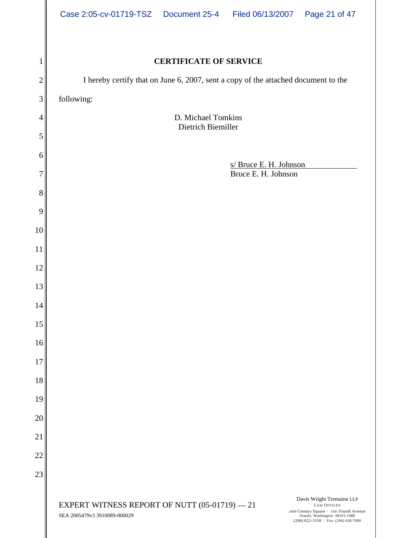|                            | Case 2:05-cv-01719-TSZ  Document 25-4  Filed 06/13/2007  Page 21 of 47                                                                             |  |  |  |
|----------------------------|----------------------------------------------------------------------------------------------------------------------------------------------------|--|--|--|
|                            |                                                                                                                                                    |  |  |  |
|                            | <b>CERTIFICATE OF SERVICE</b>                                                                                                                      |  |  |  |
|                            | I hereby certify that on June 6, 2007, sent a copy of the attached document to the                                                                 |  |  |  |
|                            | following:                                                                                                                                         |  |  |  |
|                            | D. Michael Tomkins<br>Dietrich Biemiller                                                                                                           |  |  |  |
|                            |                                                                                                                                                    |  |  |  |
|                            | s/ Bruce E. H. Johnson<br>Bruce E. H. Johnson                                                                                                      |  |  |  |
|                            |                                                                                                                                                    |  |  |  |
|                            |                                                                                                                                                    |  |  |  |
|                            |                                                                                                                                                    |  |  |  |
|                            |                                                                                                                                                    |  |  |  |
|                            |                                                                                                                                                    |  |  |  |
|                            |                                                                                                                                                    |  |  |  |
| 14                         |                                                                                                                                                    |  |  |  |
| 15                         |                                                                                                                                                    |  |  |  |
| 16<br>17 <sup>1</sup>      |                                                                                                                                                    |  |  |  |
| 18 <sup>1</sup>            |                                                                                                                                                    |  |  |  |
| 19 <sup>1</sup>            |                                                                                                                                                    |  |  |  |
| 20                         |                                                                                                                                                    |  |  |  |
| 21                         |                                                                                                                                                    |  |  |  |
| $\Omega$<br>∠∠ ∥           |                                                                                                                                                    |  |  |  |
| $\cap$ $\cap$ $\mathsf{I}$ |                                                                                                                                                    |  |  |  |
|                            | Davis Wright Tremaine LLP<br>EXPERT WITNESS REPORT OF NUTT $(05-01719) - 21$<br><b>LAW OFFICES</b>                                                 |  |  |  |
|                            | 2600 Century Square · 1501 Fourth Avenue<br>Seattle, Washington 98101-1688<br>(206) 622-3150 · Fax: (206) 628-7699<br>SEA 2005479v3 3910089-000029 |  |  |  |

∥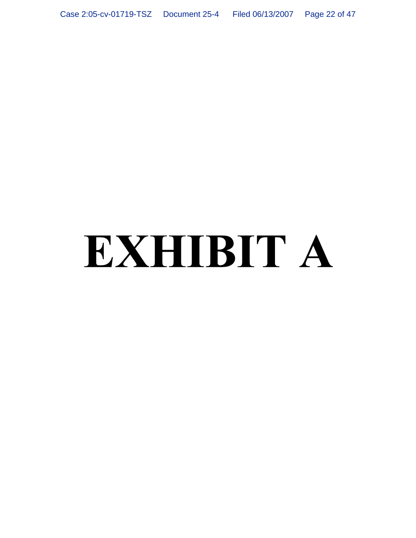# EXHIBIT A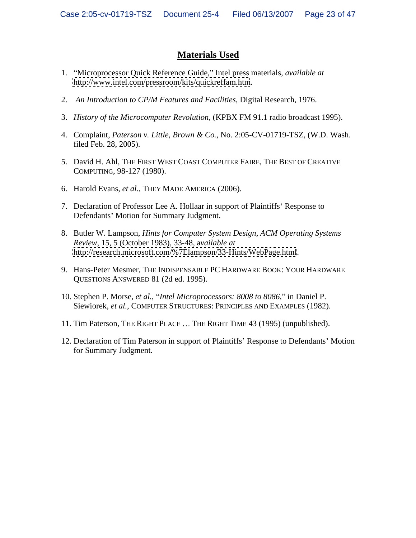# **Materials Used**

- 1. Microprocessor Quick Reference Guide, Intel press materials, *available at* <http://www.intel.com/pressroom/kits/quickreffam.htm>.
- 2. *An Introduction to CP/M Features and Facilities*, Digital Research, 1976.
- 3. *History of the Microcomputer Revolution,* (KPBX FM 91.1 radio broadcast 1995).
- 4. Complaint, *Paterson v. Little, Brown & Co.*, No. 2:05-CV-01719-TSZ, (W.D. Wash. filed Feb. 28, 2005).
- 5. David H. Ahl, THE FIRST WEST COAST COMPUTER FAIRE, THE BEST OF CREATIVE COMPUTING, 98-127 (1980).
- 6. Harold Evans, *et al.*, THEY MADE AMERICA (2006).
- 7. Declaration of Professor Lee A. Hollaar in support of Plaintiffs' Response to Defendants' Motion for Summary Judgment.
- 8. Butler W. Lampson, *Hints for Computer System Design, ACM Operating Systems Review*, 15, 5 (October 1983), 33-48, a*vailable at* <http://research.microsoft.com/%7Elampson/33-Hints/WebPage.html>.
- 9. Hans-Peter Mesmer, THE INDISPENSABLE PC HARDWARE BOOK: YOUR HARDWARE QUESTIONS ANSWERED 81 (2d ed. 1995).
- 10. Stephen P. Morse, *et al.*, *Intel Microprocessors: 8008 to 8086*, in Daniel P. Siewiorek, *et al.*, COMPUTER STRUCTURES: PRINCIPLES AND EXAMPLES (1982).
- 11. Tim Paterson, THE RIGHT PLACE ... THE RIGHT TIME 43 (1995) (unpublished).
- 12. Declaration of Tim Paterson in support of Plaintiffs' Response to Defendants' Motion for Summary Judgment.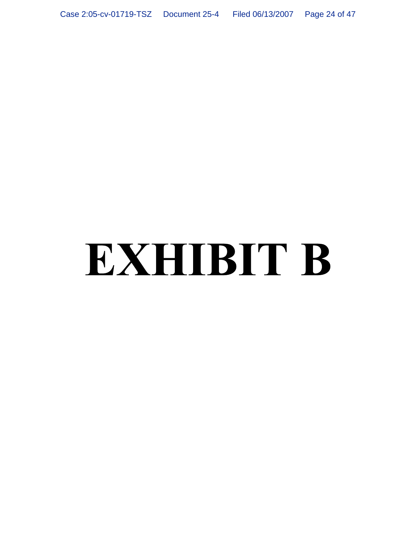# EXHIBIT B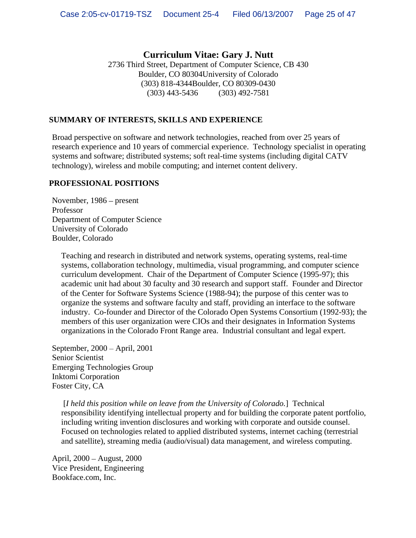# **Curriculum Vitae: Gary J. Nutt**

2736 Third Street, Department of Computer Science, CB 430 Boulder, CO 80304University of Colorado (303) 818-4344Boulder, CO 80309-0430 (303) 443-5436 (303) 492-7581

# **SUMMARY OF INTERESTS, SKILLS AND EXPERIENCE**

Broad perspective on software and network technologies, reached from over 25 years of research experience and 10 years of commercial experience. Technology specialist in operating systems and software; distributed systems; soft real-time systems (including digital CATV technology), wireless and mobile computing; and internet content delivery.

# **PROFESSIONAL POSITIONS**

November,  $1986$  – present Professor **Executive Service Service Service Service Service Service Service Service Service Service Service Service Service Service Service Service Service Service Service Service Service Service Service Service Service S** Department of Computer Science University of Colorado Boulder, Colorado

Teaching and research in distributed and network systems, operating systems, real-time systems, collaboration technology, multimedia, visual programming, and computer science curriculum development. Chair of the Department of Computer Science (1995-97); this academic unit had about 30 faculty and 30 research and support staff. Founder and Director of the Center for Software Systems Science (1988-94); the purpose of this center was to organize the systems and software faculty and staff, providing an interface to the software industry. Co-founder and Director of the Colorado Open Systems Consortium (1992-93); the members of this user organization were CIOs and their designates in Information Systems organizations in the Colorado Front Range area. Industrial consultant and legal expert.

September, 2000 April, 2001 Senior Scientist Emerging Technologies Group Inktomi Corporation Foster City, CA

 [*I held this position while on leave from the University of Colorado.*] Technical responsibility identifying intellectual property and for building the corporate patent portfolio, including writing invention disclosures and working with corporate and outside counsel. Focused on technologies related to applied distributed systems, internet caching (terrestrial and satellite), streaming media (audio/visual) data management, and wireless computing.

April, 2000 August, 2000 Vice President, Engineering Bookface.com, Inc.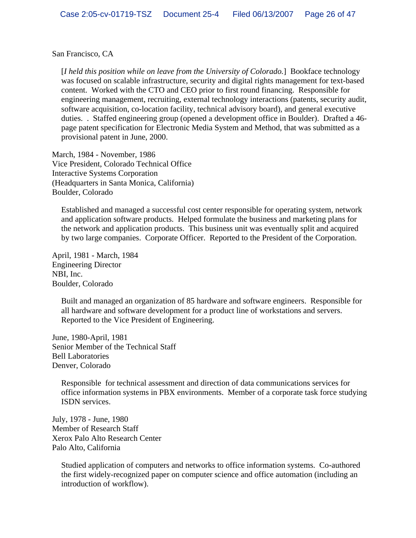San Francisco, CA

[*I held this position while on leave from the University of Colorado.*] Bookface technology was focused on scalable infrastructure, security and digital rights management for text-based content. Worked with the CTO and CEO prior to first round financing. Responsible for engineering management, recruiting, external technology interactions (patents, security audit, software acquisition, co-location facility, technical advisory board), and general executive duties. . Staffed engineering group (opened a development office in Boulder). Drafted a 46 page patent specification for Electronic Media System and Method, that was submitted as a provisional patent in June, 2000.

March, 1984 - November, 1986 Vice President, Colorado Technical Office Interactive Systems Corporation (Headquarters in Santa Monica, California) Boulder, Colorado

Established and managed a successful cost center responsible for operating system, network and application software products. Helped formulate the business and marketing plans for the network and application products. This business unit was eventually split and acquired by two large companies. Corporate Officer. Reported to the President of the Corporation.

April, 1981 - March, 1984 Engineering Director NBI, Inc. Boulder, Colorado

Built and managed an organization of 85 hardware and software engineers. Responsible for all hardware and software development for a product line of workstations and servers. Reported to the Vice President of Engineering.

June, 1980-April, 1981 Senior Member of the Technical Staff Bell Laboratories Denver, Colorado

Responsible for technical assessment and direction of data communications services for office information systems in PBX environments. Member of a corporate task force studying ISDN services.

July, 1978 - June, 1980 Member of Research Staff Xerox Palo Alto Research Center Palo Alto, California

Studied application of computers and networks to office information systems. Co-authored the first widely-recognized paper on computer science and office automation (including an introduction of workflow).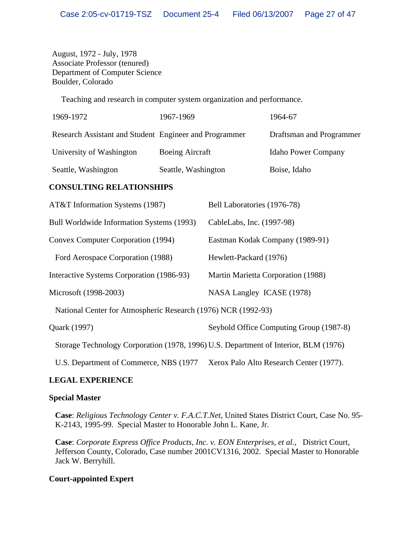August, 1972 - July, 1978 Associate Professor (tenured) Department of Computer Science Boulder, Colorado

Teaching and research in computer system organization and performance.

| 1969-1972                                              | 1967-1969              | 1964-67                    |
|--------------------------------------------------------|------------------------|----------------------------|
| Research Assistant and Student Engineer and Programmer |                        | Draftsman and Programmer   |
| University of Washington                               | <b>Boeing Aircraft</b> | <b>Idaho Power Company</b> |
| Seattle, Washington                                    | Seattle, Washington    | Boise, Idaho               |

#### **CONSULTING RELATIONSHIPS**

| AT&T Information Systems (1987)                                                     | Bell Laboratories (1976-78)             |
|-------------------------------------------------------------------------------------|-----------------------------------------|
| Bull Worldwide Information Systems (1993)                                           | CableLabs, Inc. (1997-98)               |
| <b>Convex Computer Corporation (1994)</b>                                           | Eastman Kodak Company (1989-91)         |
| Ford Aerospace Corporation (1988)                                                   | Hewlett-Packard (1976)                  |
| Interactive Systems Corporation (1986-93)                                           | Martin Marietta Corporation (1988)      |
| Microsoft (1998-2003)                                                               | NASA Langley ICASE (1978)               |
| National Center for Atmospheric Research (1976) NCR (1992-93)                       |                                         |
| Quark (1997)                                                                        | Seybold Office Computing Group (1987-8) |
| Storage Technology Corporation (1978, 1996) U.S. Department of Interior, BLM (1976) |                                         |
| U.S. Department of Commerce, NBS (1977)                                             | Xerox Palo Alto Research Center (1977). |

#### **LEGAL EXPERIENCE**

#### **Special Master**

**Case**: *Religious Technology Center v. F.A.C.T.Net*, United States District Court, Case No. 95- K-2143, 1995-99. Special Master to Honorable John L. Kane, Jr.

**Case**: *Corporate Express Office Products, Inc. v. EON Enterprises, et al.*, District Court, Jefferson County, Colorado, Case number 2001CV1316, 2002. Special Master to Honorable Jack W. Berryhill.

### **Court-appointed Expert**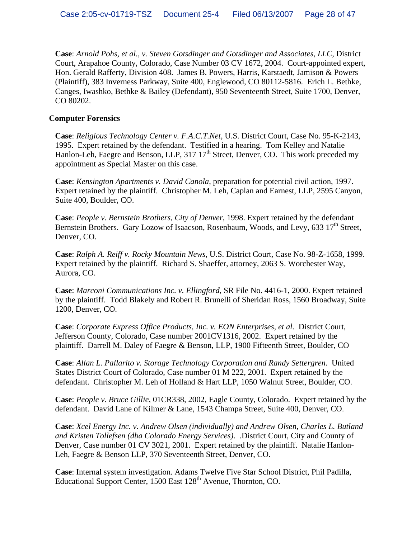**Case**: *Arnold Pohs, et al., v. Steven Gotsdinger and Gotsdinger and Associates, LLC*, District Court, Arapahoe County, Colorado, Case Number 03 CV 1672, 2004. Court-appointed expert, Hon. Gerald Rafferty, Division 408. James B. Powers, Harris, Karstaedt, Jamison & Powers (Plaintiff), 383 Inverness Parkway, Suite 400, Englewood, CO 80112-5816. Erich L. Bethke, Canges, Iwashko, Bethke & Bailey (Defendant), 950 Seventeenth Street, Suite 1700, Denver, CO 80202.

#### **Computer Forensics**

**Case**: *Religious Technology Center v. F.A.C.T.Net*, U.S. District Court, Case No. 95-K-2143, 1995. Expert retained by the defendant. Testified in a hearing. Tom Kelley and Natalie Hanlon-Leh, Faegre and Benson, LLP, 317  $17<sup>th</sup>$  Street, Denver, CO. This work preceded my appointment as Special Master on this case.

**Case**: *Kensington Apartments v. David Canola*, preparation for potential civil action, 1997. Expert retained by the plaintiff. Christopher M. Leh, Caplan and Earnest, LLP, 2595 Canyon, Suite 400, Boulder, CO.

**Case**: *People v. Bernstein Brothers, City of Denver*, 1998. Expert retained by the defendant Bernstein Brothers. Gary Lozow of Isaacson, Rosenbaum, Woods, and Levy,  $633\ 17<sup>th</sup>$  Street, Denver, CO.

**Case**: *Ralph A. Reiff v. Rocky Mountain News*, U.S. District Court, Case No. 98-Z-1658, 1999. Expert retained by the plaintiff. Richard S. Shaeffer, attorney, 2063 S. Worchester Way, Aurora, CO.

**Case**: *Marconi Communications Inc. v. Ellingford*, SR File No. 4416-1, 2000. Expert retained by the plaintiff. Todd Blakely and Robert R. Brunelli of Sheridan Ross, 1560 Broadway, Suite 1200, Denver, CO.

**Case**: *Corporate Express Office Products, Inc. v. EON Enterprises, et al.* District Court, Jefferson County, Colorado, Case number 2001CV1316, 2002. Expert retained by the plaintiff. Darrell M. Daley of Faegre & Benson, LLP, 1900 Fifteenth Street, Boulder, CO

**Case**: *Allan L. Pallarito v. Storage Technology Corporation and Randy Settergren*. United States District Court of Colorado, Case number 01 M 222, 2001. Expert retained by the defendant. Christopher M. Leh of Holland & Hart LLP, 1050 Walnut Street, Boulder, CO.

**Case**: *People v. Bruce Gillie*, 01CR338, 2002, Eagle County, Colorado. Expert retained by the defendant. David Lane of Kilmer & Lane, 1543 Champa Street, Suite 400, Denver, CO.

**Case**: *Xcel Energy Inc. v. Andrew Olsen (individually) and Andrew Olsen, Charles L. Butland and Kristen Tollefsen (dba Colorado Energy Services)*. .District Court, City and County of Denver, Case number 01 CV 3021, 2001. Expert retained by the plaintiff. Natalie Hanlon- Leh, Faegre & Benson LLP, 370 Seventeenth Street, Denver, CO.

**Case**: Internal system investigation. Adams Twelve Five Star School District, Phil Padilla, Educational Support Center, 1500 East 128<sup>th</sup> Avenue, Thornton, CO.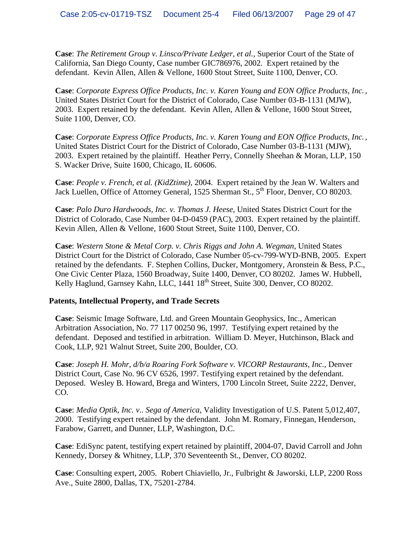**Case**: *The Retirement Group v. Linsco/Private Ledger, et al.*, Superior Court of the State of California, San Diego County, Case number GIC786976, 2002. Expert retained by the defendant. Kevin Allen, Allen & Vellone, 1600 Stout Street, Suite 1100, Denver, CO.

**Case**: *Corporate Express Office Products, Inc. v. Karen Young and EON Office Products, Inc*., United States District Court for the District of Colorado, Case Number 03-B-1131 (MJW), 2003. Expert retained by the defendant. Kevin Allen, Allen & Vellone, 1600 Stout Street, Suite 1100, Denver, CO.

**Case**: *Corporate Express Office Products, Inc. v. Karen Young and EON Office Products, Inc*., United States District Court for the District of Colorado, Case Number 03-B-1131 (MJW), 2003. Expert retained by the plaintiff. Heather Perry, Connelly Sheehan & Moran, LLP, 150 S. Wacker Drive, Suite 1600, Chicago, IL 60606.

**Case**: *People v. French, et al. (KidZtime)*, 2004. Expert retained by the Jean W. Walters and Jack Luellen, Office of Attorney General, 1525 Sherman St., 5<sup>th</sup> Floor, Denver, CO 80203.

**Case**: *Palo Duro Hardwoods, Inc. v. Thomas J. Heese*, United States District Court for the District of Colorado, Case Number 04-D-0459 (PAC), 2003. Expert retained by the plaintiff. Kevin Allen, Allen & Vellone, 1600 Stout Street, Suite 1100, Denver, CO.

**Case**: *Western Stone & Metal Corp. v. Chris Riggs and John A. Wegman*, United States District Court for the District of Colorado, Case Number 05-cv-799-WYD-BNB, 2005. Expert retained by the defendants. F. Stephen Collins, Ducker, Montgomery, Aronstein & Bess, P.C., One Civic Center Plaza, 1560 Broadway, Suite 1400, Denver, CO 80202. James W. Hubbell, Kelly Haglund, Garnsey Kahn, LLC, 1441 18<sup>th</sup> Street, Suite 300, Denver, CO 80202.

#### **Patents, Intellectual Property, and Trade Secrets**

**Case**: Seismic Image Software, Ltd. and Green Mountain Geophysics, Inc., American Arbitration Association, No. 77 117 00250 96, 1997. Testifying expert retained by the defendant. Deposed and testified in arbitration. William D. Meyer, Hutchinson, Black and Cook, LLP, 921 Walnut Street, Suite 200, Boulder, CO.

**Case**: *Joseph H. Mohr, d/b/a Roaring Fork Software v. VICORP Restaurants, Inc.*, Denver District Court, Case No. 96 CV 6526, 1997. Testifying expert retained by the defendant. Deposed. Wesley B. Howard, Brega and Winters, 1700 Lincoln Street, Suite 2222, Denver, CO.

**Case**: *Media Optik, Inc. v.. Sega of America*, Validity Investigation of U.S. Patent 5,012,407, 2000. Testifying expert retained by the defendant. John M. Romary, Finnegan, Henderson, Farabow, Garrett, and Dunner, LLP, Washington, D.C.

**Case**: EdiSync patent, testifying expert retained by plaintiff, 2004-07, David Carroll and John Kennedy, Dorsey & Whitney, LLP, 370 Seventeenth St., Denver, CO 80202.

**Case**: Consulting expert, 2005. Robert Chiaviello, Jr., Fulbright & Jaworski, LLP, 2200 Ross Ave., Suite 2800, Dallas, TX, 75201-2784.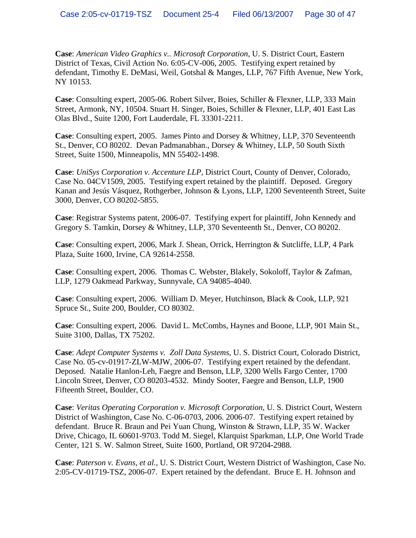**Case**: *American Video Graphics v.. Microsoft Corporation*, U. S. District Court, Eastern District of Texas, Civil Action No. 6:05-CV-006, 2005. Testifying expert retained by defendant, Timothy E. DeMasi, Weil, Gotshal & Manges, LLP, 767 Fifth Avenue, New York, NY 10153.

**Case**: Consulting expert, 2005-06. Robert Silver, Boies, Schiller & Flexner, LLP, 333 Main Street, Armonk, NY, 10504. Stuart H. Singer, Boies, Schiller & Flexner, LLP, 401 East Las Olas Blvd., Suite 1200, Fort Lauderdale, FL 33301-2211.

**Case**: Consulting expert, 2005. James Pinto and Dorsey & Whitney, LLP, 370 Seventeenth St., Denver, CO 80202. Devan Padmanabhan., Dorsey & Whitney, LLP, 50 South Sixth Street, Suite 1500, Minneapolis, MN 55402-1498.

**Case**: *UniSys Corporation v. Accenture LLP*, District Court, County of Denver, Colorado, Case No. 04CV1509, 2005. Testifying expert retained by the plaintiff. Deposed. Gregory Kanan and Jesús Vásquez, Rothgerber, Johnson & Lyons, LLP, 1200 Seventeenth Street, Suite 3000, Denver, CO 80202-5855.

**Case**: Registrar Systems patent, 2006-07. Testifying expert for plaintiff, John Kennedy and Gregory S. Tamkin, Dorsey & Whitney, LLP, 370 Seventeenth St., Denver, CO 80202.

**Case**: Consulting expert, 2006, Mark J. Shean, Orrick, Herrington & Sutcliffe, LLP, 4 Park Plaza, Suite 1600, Irvine, CA 92614-2558.

**Case**: Consulting expert, 2006. Thomas C. Webster, Blakely, Sokoloff, Taylor & Zafman, LLP, 1279 Oakmead Parkway, Sunnyvale, CA 94085-4040.

**Case**: Consulting expert, 2006. William D. Meyer, Hutchinson, Black & Cook, LLP, 921 Spruce St., Suite 200, Boulder, CO 80302.

**Case**: Consulting expert, 2006. David L. McCombs, Haynes and Boone, LLP, 901 Main St., Suite 3100, Dallas, TX 75202.

**Case**: *Adept Computer Systems v. Zoll Data Systems*, U. S. District Court, Colorado District, Case No. 05-cv-01917-ZLW-MJW, 2006-07. Testifying expert retained by the defendant. Deposed. Natalie Hanlon-Leh, Faegre and Benson, LLP, 3200 Wells Fargo Center, 1700 Lincoln Street, Denver, CO 80203-4532. Mindy Sooter, Faegre and Benson, LLP, 1900 Fifteenth Street, Boulder, CO.

**Case**: *Veritas Operating Corporation v. Microsoft Corporation*, U. S. District Court, Western District of Washington, Case No. C-06-0703, 2006. 2006-07. Testifying expert retained by defendant. Bruce R. Braun and Pei Yuan Chung, Winston & Strawn, LLP, 35 W. Wacker Drive, Chicago, IL 60601-9703. Todd M. Siegel, Klarquist Sparkman, LLP, One World Trade Center, 121 S. W. Salmon Street, Suite 1600, Portland, OR 97204-2988.

**Case**: *Paterson v. Evans, et al.*, U. S. District Court, Western District of Washington, Case No. 2:05-CV-01719-TSZ, 2006-07. Expert retained by the defendant. Bruce E. H. Johnson and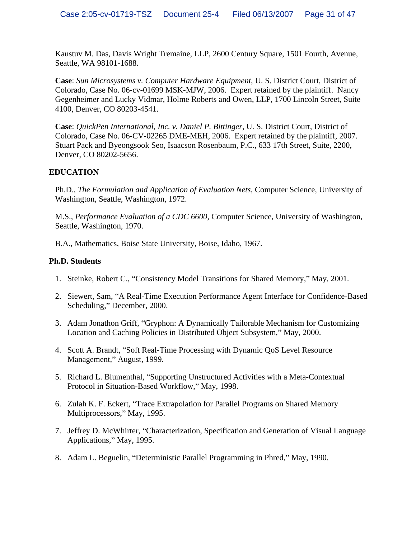Kaustuv M. Das, Davis Wright Tremaine, LLP, 2600 Century Square, 1501 Fourth, Avenue, Seattle, WA 98101-1688.

**Case**: *Sun Microsystems v. Computer Hardware Equipment*, U. S. District Court, District of Colorado, Case No. 06-cv-01699 MSK-MJW, 2006. Expert retained by the plaintiff. Nancy Gegenheimer and Lucky Vidmar, Holme Roberts and Owen, LLP, 1700 Lincoln Street, Suite 4100, Denver, CO 80203-4541.

**Case**: *QuickPen International, Inc. v. Daniel P. Bittinger*, U. S. District Court, District of Colorado, Case No. 06-CV-02265 DME-MEH, 2006. Expert retained by the plaintiff, 2007. Stuart Pack and Byeongsook Seo, Isaacson Rosenbaum, P.C., 633 17th Street, Suite, 2200, Denver, CO 80202-5656.

# **EDUCATION**

Ph.D., *The Formulation and Application of Evaluation Nets*, Computer Science, University of Washington, Seattle, Washington, 1972.

M.S., *Performance Evaluation of a CDC 6600*, Computer Science, University of Washington, Seattle, Washington, 1970.

B.A., Mathematics, Boise State University, Boise, Idaho, 1967.

# **Ph.D. Students**

- 1. Steinke, Robert C., "Consistency Model Transitions for Shared Memory," May, 2001.
- 2. Siewert, Sam, "A Real-Time Execution Performance Agent Interface for Confidence-Based Scheduling," December, 2000.
- 3. Adam Jonathon Griff, "Gryphon: A Dynamically Tailorable Mechanism for Customizing Location and Caching Policies in Distributed Object Subsystem," May, 2000.
- 4. Scott A. Brandt, "Soft Real-Time Processing with Dynamic QoS Level Resource Management," August, 1999.
- 5. Richard L. Blumenthal, "Supporting Unstructured Activities with a Meta-Contextual Protocol in Situation-Based Workflow," May, 1998.
- 6. Zulah K. F. Eckert, "Trace Extrapolation for Parallel Programs on Shared Memory Multiprocessors," May, 1995.
- 7. Jeffrey D. McWhirter, "Characterization, Specification and Generation of Visual Language Applications," May, 1995.
- 8. Adam L. Beguelin, "Deterministic Parallel Programming in Phred," May, 1990.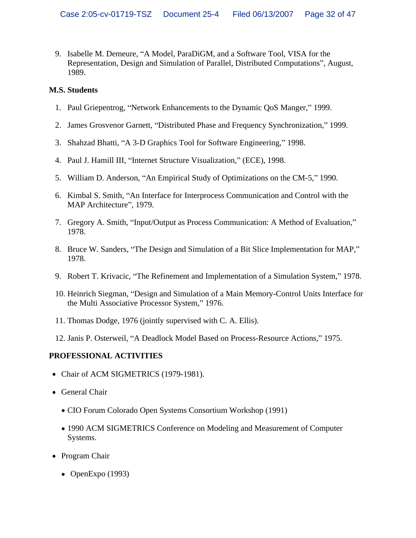9. Isabelle M. Demeure, "A Model, ParaDiGM, and a Software Tool, VISA for the Representation, Design and Simulation of Parallel, Distributed Computations", August, 1989.

# **M.S. Students**

- 1. Paul Griepentrog, "Network Enhancements to the Dynamic QoS Manger," 1999.
- 2. James Grosvenor Garnett, "Distributed Phase and Frequency Synchronization," 1999.
- 3. Shahzad Bhatti, "A 3-D Graphics Tool for Software Engineering," 1998.
- 4. Paul J. Hamill III, "Internet Structure Visualization," (ECE), 1998.
- 5. William D. Anderson, "An Empirical Study of Optimizations on the CM-5," 1990.
- 6. Kimbal S. Smith, "An Interface for Interprocess Communication and Control with the MAP Architecture", 1979.
- 7. Gregory A. Smith, "Input/Output as Process Communication: A Method of Evaluation," 1978.
- 8. Bruce W. Sanders, "The Design and Simulation of a Bit Slice Implementation for MAP," 1978.
- 9. Robert T. Krivacic, "The Refinement and Implementation of a Simulation System," 1978.
- 10. Heinrich Siegman, "Design and Simulation of a Main Memory-Control Units Interface for the Multi Associative Processor System," 1976.
- 11. Thomas Dodge, 1976 (jointly supervised with C. A. Ellis).
- 12. Janis P. Osterweil, "A Deadlock Model Based on Process-Resource Actions," 1975.

# **PROFESSIONAL ACTIVITIES**

- Chair of ACM SIGMETRICS (1979-1981).
- General Chair
	- CIO Forum Colorado Open Systems Consortium Workshop (1991)
	- 1990 ACM SIGMETRICS Conference on Modeling and Measurement of Computer Systems.
- Program Chair
	- OpenExpo  $(1993)$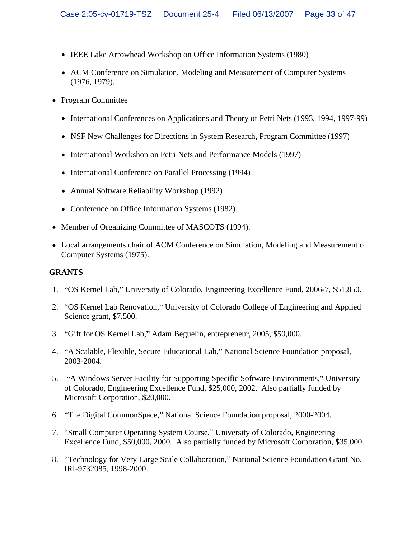- IEEE Lake Arrowhead Workshop on Office Information Systems (1980)
- ACM Conference on Simulation, Modeling and Measurement of Computer Systems (1976, 1979).
- Program Committee
	- International Conferences on Applications and Theory of Petri Nets (1993, 1994, 1997-99)
	- NSF New Challenges for Directions in System Research, Program Committee (1997)
	- International Workshop on Petri Nets and Performance Models (1997)
	- International Conference on Parallel Processing (1994)
	- Annual Software Reliability Workshop (1992)
	- Conference on Office Information Systems (1982)
- Member of Organizing Committee of MASCOTS (1994).
- Local arrangements chair of ACM Conference on Simulation, Modeling and Measurement of Computer Systems (1975).

#### **GRANTS**

- 1. "OS Kernel Lab," University of Colorado, Engineering Excellence Fund, 2006-7, \$51,850.
- 2. "OS Kernel Lab Renovation," University of Colorado College of Engineering and Applied Science grant, \$7,500.
- 3. "Gift for OS Kernel Lab," Adam Beguelin, entrepreneur, 2005, \$50,000.
- 4. "A Scalable, Flexible, Secure Educational Lab," National Science Foundation proposal, 2003-2004.
- 5. "A Windows Server Facility for Supporting Specific Software Environments," University of Colorado, Engineering Excellence Fund, \$25,000, 2002. Also partially funded by Microsoft Corporation, \$20,000.
- 6. "The Digital CommonSpace," National Science Foundation proposal, 2000-2004.
- 7. "Small Computer Operating System Course," University of Colorado, Engineering Excellence Fund, \$50,000, 2000. Also partially funded by Microsoft Corporation, \$35,000.
- 8. "Technology for Very Large Scale Collaboration," National Science Foundation Grant No. IRI-9732085, 1998-2000.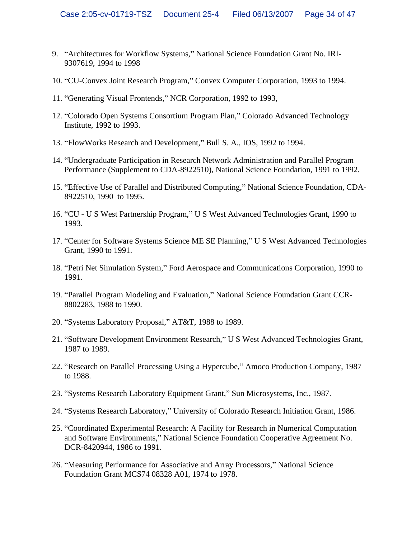- 9. "Architectures for Workflow Systems," National Science Foundation Grant No. IRI-9307619, 1994 to 1998
- 10. "CU-Convex Joint Research Program," Convex Computer Corporation, 1993 to 1994.
- 11. "Generating Visual Frontends," NCR Corporation, 1992 to 1993,
- 12. "Colorado Open Systems Consortium Program Plan," Colorado Advanced Technology Institute, 1992 to 1993.
- 13. "FlowWorks Research and Development," Bull S. A., IOS, 1992 to 1994.
- 14. Undergraduate Participation in Research Network Administration and Parallel Program Performance (Supplement to CDA-8922510), National Science Foundation, 1991 to 1992.
- 15. "Effective Use of Parallel and Distributed Computing," National Science Foundation, CDA-8922510, 1990 to 1995.
- 16. "CU U S West Partnership Program," U S West Advanced Technologies Grant, 1990 to 1993.
- 17. "Center for Software Systems Science ME SE Planning," U S West Advanced Technologies Grant, 1990 to 1991.
- 18. "Petri Net Simulation System," Ford Aerospace and Communications Corporation, 1990 to 1991.
- 19. "Parallel Program Modeling and Evaluation," National Science Foundation Grant CCR-8802283, 1988 to 1990.
- 20. "Systems Laboratory Proposal," AT&T, 1988 to 1989.
- 21. "Software Development Environment Research," U S West Advanced Technologies Grant, 1987 to 1989.
- 22. "Research on Parallel Processing Using a Hypercube," Amoco Production Company, 1987 to 1988.
- 23. "Systems Research Laboratory Equipment Grant," Sun Microsystems, Inc., 1987.
- 24. "Systems Research Laboratory," University of Colorado Research Initiation Grant, 1986.
- 25. "Coordinated Experimental Research: A Facility for Research in Numerical Computation and Software Environments," National Science Foundation Cooperative Agreement No. DCR-8420944, 1986 to 1991.
- 26. "Measuring Performance for Associative and Array Processors," National Science Foundation Grant MCS74 08328 A01, 1974 to 1978.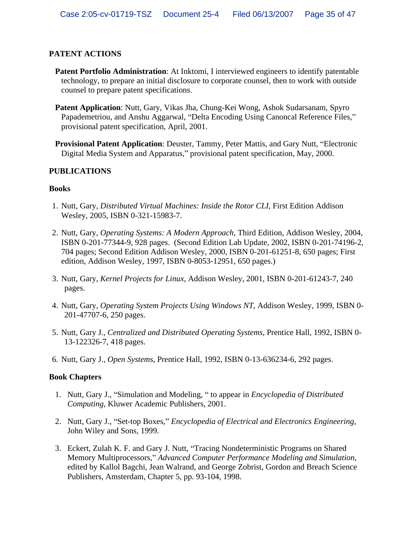# **PATENT ACTIONS**

- **Patent Portfolio Administration**: At Inktomi, I interviewed engineers to identify patentable technology, to prepare an initial disclosure to corporate counsel, then to work with outside counsel to prepare patent specifications.
- **Patent Application**: Nutt, Gary, Vikas Jha, Chung-Kei Wong, Ashok Sudarsanam, Spyro Papademetriou, and Anshu Aggarwal, "Delta Encoding Using Canoncal Reference Files," provisional patent specification, April, 2001.
- **Provisional Patent Application:** Deuster, Tammy, Peter Mattis, and Gary Nutt, "Electronic Digital Media System and Apparatus," provisional patent specification, May, 2000.

## **PUBLICATIONS**

## **Books**

- 1. Nutt, Gary, *Distributed Virtual Machines: Inside the Rotor CLI*, First Edition Addison Wesley, 2005, ISBN 0-321-15983-7.
- 2. Nutt, Gary, *Operating Systems: A Modern Approach*, Third Edition, Addison Wesley, 2004, ISBN 0-201-77344-9, 928 pages. (Second Edition Lab Update, 2002, ISBN 0-201-74196-2, 704 pages; Second Edition Addison Wesley, 2000, ISBN 0-201-61251-8, 650 pages; First edition, Addison Wesley, 1997, ISBN 0-8053-12951, 650 pages.)
- 3. Nutt, Gary, *Kernel Projects for Linux*, Addison Wesley, 2001, ISBN 0-201-61243-7, 240 pages.
- 4. Nutt, Gary, *Operating System Projects Using Windows NT*, Addison Wesley, 1999, ISBN 0- 201-47707-6, 250 pages.
- 5. Nutt, Gary J., *Centralized and Distributed Operating Systems*, Prentice Hall, 1992, ISBN 0- 13-122326-7, 418 pages.
- 6. Nutt, Gary J., *Open Systems*, Prentice Hall, 1992, ISBN 0-13-636234-6, 292 pages.

# **Book Chapters**

- 1. Nutt, Gary J., "Simulation and Modeling, " to appear in *Encyclopedia of Distributed Computing*, Kluwer Academic Publishers, 2001.
- 2. Nutt, Gary J., "Set-top Boxes," *Encyclopedia of Electrical and Electronics Engineering*, John Wiley and Sons, 1999.
- 3. Eckert, Zulah K. F. and Gary J. Nutt, "Tracing Nondeterministic Programs on Shared Memory Multiprocessors, *Advanced Computer Performance Modeling and Simulation*, edited by Kallol Bagchi, Jean Walrand, and George Zobrist, Gordon and Breach Science Publishers, Amsterdam, Chapter 5, pp. 93-104, 1998.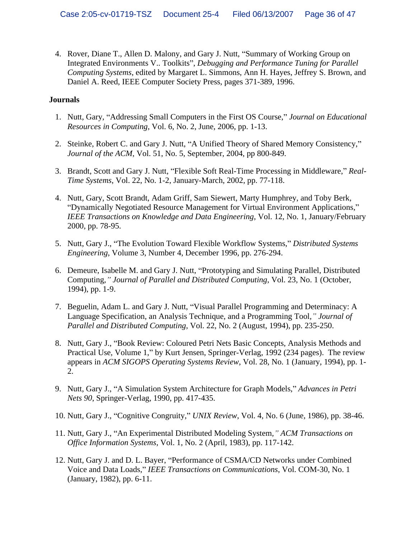4. Rover, Diane T., Allen D. Malony, and Gary J. Nutt, "Summary of Working Group on Integrated Environments V.. Toolkits", *Debugging and Performance Tuning for Parallel Computing Systems*, edited by Margaret L. Simmons, Ann H. Hayes, Jeffrey S. Brown, and Daniel A. Reed, IEEE Computer Society Press, pages 371-389, 1996.

# **Journals**

- 1. Nutt, Gary, "Addressing Small Computers in the First OS Course," *Journal on Educational Resources in Computing*, Vol. 6, No. 2, June, 2006, pp. 1-13.
- 2. Steinke, Robert C. and Gary J. Nutt, "A Unified Theory of Shared Memory Consistency," *Journal of the ACM*, Vol. 51, No. 5, September, 2004, pp 800-849.
- 3. Brandt, Scott and Gary J. Nutt, Flexible Soft Real-Time Processing in Middleware, *Real- Time Systems*, Vol. 22, No. 1-2, January-March, 2002, pp. 77-118.
- 4. Nutt, Gary, Scott Brandt, Adam Griff, Sam Siewert, Marty Humphrey, and Toby Berk, Dynamically Negotiated Resource Management for Virtual Environment Applications, *IEEE Transactions on Knowledge and Data Engineering*, Vol. 12, No. 1, January/February 2000, pp. 78-95.
- 5. Nutt, Gary J., The Evolution Toward Flexible Workflow Systems, *Distributed Systems Engineering*, Volume 3, Number 4, December 1996, pp. 276-294.
- 6. Demeure, Isabelle M. and Gary J. Nutt, "Prototyping and Simulating Parallel, Distributed Computing*, Journal of Parallel and Distributed Computing*, Vol. 23, No. 1 (October, 1994), pp. 1-9.
- 7. Beguelin, Adam L. and Gary J. Nutt, "Visual Parallel Programming and Determinacy: A Language Specification, an Analysis Technique, and a Programming Tool*, Journal of Parallel and Distributed Computing*, Vol. 22, No. 2 (August, 1994), pp. 235-250.
- 8. Nutt, Gary J., "Book Review: Coloured Petri Nets Basic Concepts, Analysis Methods and Practical Use, Volume 1," by Kurt Jensen, Springer-Verlag, 1992 (234 pages). The review appears in *ACM SIGOPS Operating Systems Review*, Vol. 28, No. 1 (January, 1994), pp. 1- 2.
- 9. Nutt, Gary J., "A Simulation System Architecture for Graph Models," Advances in Petri *Nets 90*, Springer-Verlag, 1990, pp. 417-435.
- 10. Nutt, Gary J., "Cognitive Congruity," *UNIX Review*, Vol. 4, No. 6 (June, 1986), pp. 38-46.
- 11. Nutt, Gary J., "An Experimental Distributed Modeling System," ACM Transactions on *Office Information Systems*, Vol. 1, No. 2 (April, 1983), pp. 117-142.
- 12. Nutt, Gary J. and D. L. Bayer, "Performance of CSMA/CD Networks under Combined Voice and Data Loads, *IEEE Transactions on Communications*, Vol. COM-30, No. 1 (January, 1982), pp. 6-11.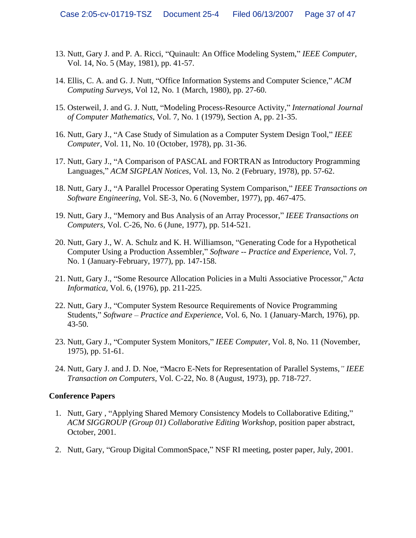- 13. Nutt, Gary J. and P. A. Ricci, "Quinault: An Office Modeling System," *IEEE Computer*, Vol. 14, No. 5 (May, 1981), pp. 41-57.
- 14. Ellis, C. A. and G. J. Nutt, "Office Information Systems and Computer Science," ACM *Computing Surveys*, Vol 12, No. 1 (March, 1980), pp. 27-60.
- 15. Osterweil, J. and G. J. Nutt, Modeling Process-Resource Activity, *International Journal of Computer Mathematics*, Vol. 7, No. 1 (1979), Section A, pp. 21-35.
- 16. Nutt, Gary J., "A Case Study of Simulation as a Computer System Design Tool," IEEE *Computer*, Vol. 11, No. 10 (October, 1978), pp. 31-36.
- 17. Nutt, Gary J., "A Comparison of PASCAL and FORTRAN as Introductory Programming Languages, *ACM SIGPLAN Notices*, Vol. 13, No. 2 (February, 1978), pp. 57-62.
- 18. Nutt, Gary J., "A Parallel Processor Operating System Comparison," IEEE Transactions on *Software Engineering*, Vol. SE-3, No. 6 (November, 1977), pp. 467-475.
- 19. Nutt, Gary J., Memory and Bus Analysis of an Array Processor, *IEEE Transactions on Computers*, Vol. C-26, No. 6 (June, 1977), pp. 514-521.
- 20. Nutt, Gary J., W. A. Schulz and K. H. Williamson, "Generating Code for a Hypothetical Computer Using a Production Assembler," Software -- Practice and Experience, Vol. 7, No. 1 (January-February, 1977), pp. 147-158.
- 21. Nutt, Gary J., "Some Resource Allocation Policies in a Multi Associative Processor," Acta *Informatica*, Vol. 6, (1976), pp. 211-225.
- 22. Nutt, Gary J., "Computer System Resource Requirements of Novice Programming Students," Software – Practice and Experience, Vol. 6, No. 1 (January-March, 1976), pp. 43-50.
- 23. Nutt, Gary J., "Computer System Monitors," IEEE Computer, Vol. 8, No. 11 (November, 1975), pp. 51-61.
- 24. Nutt, Gary J. and J. D. Noe, "Macro E-Nets for Representation of Parallel Systems," IEEE *Transaction on Computers*, Vol. C-22, No. 8 (August, 1973), pp. 718-727.

#### **Conference Papers**

- 1. Nutt, Gary, "Applying Shared Memory Consistency Models to Collaborative Editing," *ACM SIGGROUP (Group 01) Collaborative Editing Workshop*, position paper abstract, October, 2001.
- 2. Nutt, Gary, "Group Digital CommonSpace," NSF RI meeting, poster paper, July, 2001.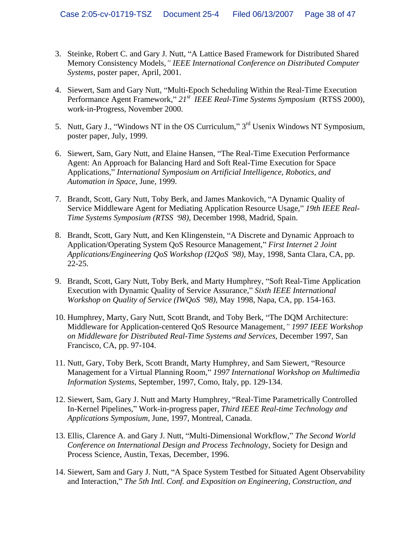- 3. Steinke, Robert C. and Gary J. Nutt, "A Lattice Based Framework for Distributed Shared Memory Consistency Models," IEEE International Conference on Distributed Computer *Systems*, poster paper, April, 2001.
- 4. Siewert, Sam and Gary Nutt, "Multi-Epoch Scheduling Within the Real-Time Execution Performance Agent Framework," 21<sup>*st IEEE Real-Time Systems Symposium* (RTSS 2000),</sup> work-in-Progress, November 2000.
- 5. Nutt, Gary J., "Windows NT in the OS Curriculum," 3<sup>rd</sup> Usenix Windows NT Symposium, poster paper, July, 1999.
- 6. Siewert, Sam, Gary Nutt, and Elaine Hansen, The Real-Time Execution Performance Agent: An Approach for Balancing Hard and Soft Real-Time Execution for Space Applications," International Symposium on Artificial Intelligence, Robotics, and *Automation in Space*, June, 1999.
- 7. Brandt, Scott, Gary Nutt, Toby Berk, and James Mankovich, "A Dynamic Quality of Service Middleware Agent for Mediating Application Resource Usage," 19th IEEE Real-*Time Systems Symposium (RTSS 98),* December 1998, Madrid, Spain.
- 8. Brandt, Scott, Gary Nutt, and Ken Klingenstein, "A Discrete and Dynamic Approach to Application/Operating System QoS Resource Management, *First Internet 2 Joint Applications/Engineering QoS Workshop (I2QoS 98),* May, 1998, Santa Clara, CA, pp. 22-25.
- 9. Brandt, Scott, Gary Nutt, Toby Berk, and Marty Humphrey, "Soft Real-Time Application Execution with Dynamic Quality of Service Assurance," Sixth IEEE International *Workshop on Quality of Service (IWQoS 98),* May 1998, Napa, CA, pp. 154-163.
- 10. Humphrey, Marty, Gary Nutt, Scott Brandt, and Toby Berk, "The DQM Architecture: Middleware for Application-centered QoS Resource Management*, 1997 IEEE Workshop on Middleware for Distributed Real-Time Systems and Services*, December 1997, San Francisco, CA, pp. 97-104.
- 11. Nutt, Gary, Toby Berk, Scott Brandt, Marty Humphrey, and Sam Siewert, "Resource Management for a Virtual Planning Room," 1997 International Workshop on Multimedia *Information Systems*, September, 1997, Como, Italy, pp. 129-134.
- 12. Siewert, Sam, Gary J. Nutt and Marty Humphrey, "Real-Time Parametrically Controlled In-Kernel Pipelines, Work-in-progress paper, *Third IEEE Real-time Technology and Applications Symposium*, June, 1997, Montreal, Canada.
- 13. Ellis, Clarence A. and Gary J. Nutt, "Multi-Dimensional Workflow," The Second World *Conference on International Design and Process Technolog*y, Society for Design and Process Science, Austin, Texas, December, 1996.
- 14. Siewert, Sam and Gary J. Nutt, "A Space System Testbed for Situated Agent Observability and Interaction," The 5th Intl. Conf. and Exposition on Engineering, Construction, and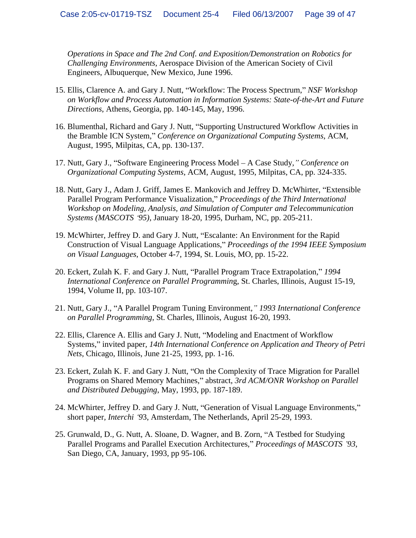*Operations in Space and The 2nd Conf. and Exposition/Demonstration on Robotics for Challenging Environments*, Aerospace Division of the American Society of Civil Engineers, Albuquerque, New Mexico, June 1996.

- 15. Ellis, Clarence A. and Gary J. Nutt, Workflow: The Process Spectrum, *NSF Workshop on Workflow and Process Automation in Information Systems: State-of-the-Art and Future Directions*, Athens, Georgia, pp. 140-145, May, 1996.
- 16. Blumenthal, Richard and Gary J. Nutt, "Supporting Unstructured Workflow Activities in the Bramble ICN System," Conference on Organizational Computing Systems, ACM, August, 1995, Milpitas, CA, pp. 130-137.
- 17. Nutt, Gary J., "Software Engineering Process Model A Case Study, " Conference on *Organizational Computing Systems*, ACM, August, 1995, Milpitas, CA, pp. 324-335.
- 18. Nutt, Gary J., Adam J. Griff, James E. Mankovich and Jeffrey D. McWhirter, "Extensible Parallel Program Performance Visualization," Proceedings of the Third International *Workshop on Modeling, Analysis, and Simulation of Computer and Telecommunication Systems (MASCOTS 95)*, January 18-20, 1995, Durham, NC, pp. 205-211.
- 19. McWhirter, Jeffrey D. and Gary J. Nutt, Escalante: An Environment for the Rapid Construction of Visual Language Applications," Proceedings of the 1994 IEEE Symposium *on Visual Languages*, October 4-7, 1994, St. Louis, MO, pp. 15-22.
- 20. Eckert, Zulah K. F. and Gary J. Nutt, "Parallel Program Trace Extrapolation," 1994 *International Conference on Parallel Programmin*g, St. Charles, Illinois, August 15-19, 1994, Volume II, pp. 103-107.
- 21. Nutt, Gary J., "A Parallel Program Tuning Environment," 1993 International Conference *on Parallel Programming*, St. Charles, Illinois, August 16-20, 1993.
- 22. Ellis, Clarence A. Ellis and Gary J. Nutt, "Modeling and Enactment of Workflow Systems," invited paper, 14th International Conference on Application and Theory of Petri *Nets*, Chicago, Illinois, June 21-25, 1993, pp. 1-16.
- 23. Eckert, Zulah K. F. and Gary J. Nutt, "On the Complexity of Trace Migration for Parallel Programs on Shared Memory Machines," abstract, 3rd ACM/ONR Workshop on Parallel *and Distributed Debugging*, May, 1993, pp. 187-189.
- 24. McWhirter, Jeffrey D. and Gary J. Nutt, "Generation of Visual Language Environments," short paper*, Interchi 9*3, Amsterdam, The Netherlands, April 25-29, 1993.
- 25. Grunwald, D., G. Nutt, A. Sloane, D. Wagner, and B. Zorn, "A Testbed for Studying Parallel Programs and Parallel Execution Architectures," *Proceedings of MASCOTS '93*, San Diego, CA, January, 1993, pp 95-106.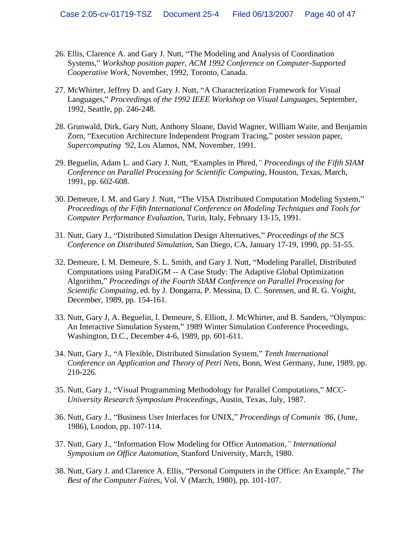- 26. Ellis, Clarence A. and Gary J. Nutt, The Modeling and Analysis of Coordination Systems," Workshop position paper, ACM 1992 Conference on Computer-Supported *Cooperative Work*, November, 1992, Toronto, Canada.
- 27. McWhirter, Jeffrey D. and Gary J. Nutt, "A Characterization Framework for Visual Languages, *Proceedings of the 1992 IEEE Workshop on Visual Languages*, September, 1992, Seattle, pp. 246-248.
- 28. Grunwald, Dirk, Gary Nutt, Anthony Sloane, David Wagner, William Waite, and Benjamin Zorn, "Execution Architecture Independent Program Tracing," poster session paper, *Supercomputing 92*, Los Alamos, NM, November, 1991.
- 29. Beguelin, Adam L. and Gary J. Nutt, "Examples in Phred," *Proceedings of the Fifth SIAM Conference on Parallel Processing for Scientific Computing*, Houston, Texas, March, 1991, pp. 602-608.
- 30. Demeure, I. M. and Gary J. Nutt, "The VISA Distributed Computation Modeling System," *Proceedings of the Fifth International Conference on Modeling Techniques and Tools for Computer Performance Evaluation*, Turin, Italy, February 13-15, 1991.
- 31. Nutt, Gary J., Distributed Simulation Design Alternatives, *Proceedings of the SCS Conference on Distributed Simulation*, San Diego, CA, January 17-19, 1990, pp. 51-55.
- 32. Demeure, I. M. Demeure, S. L. Smith, and Gary J. Nutt, "Modeling Parallel, Distributed Computations using ParaDiGM -- A Case Study: The Adaptive Global Optimization Algorithm, *Proceedings of the Fourth SIAM Conference on Parallel Processing for Scientific Computing*, ed. by J. Dongarra, P. Messina, D. C. Sorensen, and R. G. Voight, December, 1989, pp. 154-161.
- 33. Nutt, Gary J, A. Beguelin, I. Demeure, S. Elliott, J. McWhirter, and B. Sanders, "Olympus: An Interactive Simulation System," 1989 Winter Simulation Conference Proceedings, Washington, D.C., December 4-6, 1989, pp. 601-611.
- 34. Nutt, Gary J., "A Flexible, Distributed Simulation System," Tenth International *Conference on Application and Theory of Petri Nets*, Bonn, West Germany, June, 1989, pp. 210-226.
- 35. Nutt, Gary J., "Visual Programming Methodology for Parallel Computations," MCC-*University Research Symposium Proceedings*, Austin, Texas, July, 1987.
- 36. Nutt, Gary J., "Business User Interfaces for UNIX," Proceedings of Comunix '86, (June, 1986), London, pp. 107-114.
- 37. Nutt, Gary J., Information Flow Modeling for Office Automation*, International Symposium on Office Automation*, Stanford University, March, 1980.
- 38. Nutt, Gary J. and Clarence A. Ellis, "Personal Computers in the Office: An Example," The *Best of the Computer Faires*, Vol. V (March, 1980), pp. 101-107.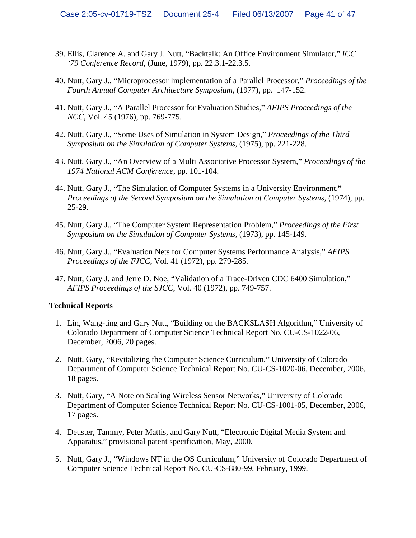- 39. Ellis, Clarence A. and Gary J. Nutt, "Backtalk: An Office Environment Simulator," ICC *79 Conference Record*, (June, 1979), pp. 22.3.1-22.3.5.
- 40. Nutt, Gary J., "Microprocessor Implementation of a Parallel Processor," Proceedings of the *Fourth Annual Computer Architecture Symposium*, (1977), pp. 147-152.
- 41. Nutt, Gary J., "A Parallel Processor for Evaluation Studies," AFIPS Proceedings of the *NCC*, Vol. 45 (1976), pp. 769-775.
- 42. Nutt, Gary J., "Some Uses of Simulation in System Design," Proceedings of the Third *Symposium on the Simulation of Computer Systems*, (1975), pp. 221-228.
- 43. Nutt, Gary J., "An Overview of a Multi Associative Processor System," Proceedings of the *1974 National ACM Conference*, pp. 101-104.
- 44. Nutt, Gary J., "The Simulation of Computer Systems in a University Environment," *Proceedings of the Second Symposium on the Simulation of Computer Systems*, (1974), pp. 25-29.
- 45. Nutt, Gary J., "The Computer System Representation Problem," *Proceedings of the First Symposium on the Simulation of Computer Systems*, (1973), pp. 145-149.
- 46. Nutt, Gary J., Evaluation Nets for Computer Systems Performance Analysis, *AFIPS Proceedings of the FJCC*, Vol. 41 (1972), pp. 279-285.
- 47. Nutt, Gary J. and Jerre D. Noe, "Validation of a Trace-Driven CDC 6400 Simulation," *AFIPS Proceedings of the SJCC*, Vol. 40 (1972), pp. 749-757.

#### **Technical Reports**

- 1. Lin, Wang-ting and Gary Nutt, "Building on the BACKSLASH Algorithm," University of Colorado Department of Computer Science Technical Report No. CU-CS-1022-06, December, 2006, 20 pages.
- 2. Nutt, Gary, "Revitalizing the Computer Science Curriculum," University of Colorado Department of Computer Science Technical Report No. CU-CS-1020-06, December, 2006, 18 pages.
- 3. Nutt, Gary, "A Note on Scaling Wireless Sensor Networks," University of Colorado Department of Computer Science Technical Report No. CU-CS-1001-05, December, 2006, 17 pages.
- 4. Deuster, Tammy, Peter Mattis, and Gary Nutt, "Electronic Digital Media System and Apparatus," provisional patent specification, May, 2000.
- 5. Nutt, Gary J., "Windows NT in the OS Curriculum," University of Colorado Department of Computer Science Technical Report No. CU-CS-880-99, February, 1999.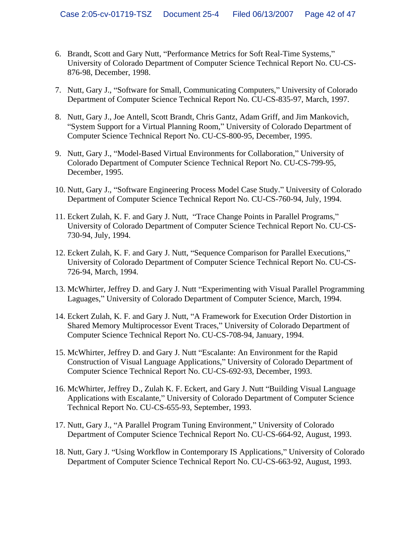- 6. Brandt, Scott and Gary Nutt, "Performance Metrics for Soft Real-Time Systems," University of Colorado Department of Computer Science Technical Report No. CU-CS- 876-98, December, 1998.
- 7. Nutt, Gary J., "Software for Small, Communicating Computers," University of Colorado Department of Computer Science Technical Report No. CU-CS-835-97, March, 1997.
- 8. Nutt, Gary J., Joe Antell, Scott Brandt, Chris Gantz, Adam Griff, and Jim Mankovich, System Support for a Virtual Planning Room, University of Colorado Department of Computer Science Technical Report No. CU-CS-800-95, December, 1995.
- 9. Nutt, Gary J., "Model-Based Virtual Environments for Collaboration," University of Colorado Department of Computer Science Technical Report No. CU-CS-799-95, December, 1995.
- 10. Nutt, Gary J., "Software Engineering Process Model Case Study." University of Colorado Department of Computer Science Technical Report No. CU-CS-760-94, July, 1994.
- 11. Eckert Zulah, K. F. and Gary J. Nutt, "Trace Change Points in Parallel Programs," University of Colorado Department of Computer Science Technical Report No. CU-CS- 730-94, July, 1994.
- 12. Eckert Zulah, K. F. and Gary J. Nutt, "Sequence Comparison for Parallel Executions," University of Colorado Department of Computer Science Technical Report No. CU-CS- 726-94, March, 1994.
- 13. McWhirter, Jeffrey D. and Gary J. Nutt "Experimenting with Visual Parallel Programming Laguages," University of Colorado Department of Computer Science, March, 1994.
- 14. Eckert Zulah, K. F. and Gary J. Nutt, "A Framework for Execution Order Distortion in Shared Memory Multiprocessor Event Traces," University of Colorado Department of Computer Science Technical Report No. CU-CS-708-94, January, 1994.
- 15. McWhirter, Jeffrey D. and Gary J. Nutt "Escalante: An Environment for the Rapid Construction of Visual Language Applications," University of Colorado Department of Computer Science Technical Report No. CU-CS-692-93, December, 1993.
- 16. McWhirter, Jeffrey D., Zulah K. F. Eckert, and Gary J. Nutt "Building Visual Language" Applications with Escalante," University of Colorado Department of Computer Science Technical Report No. CU-CS-655-93, September, 1993.
- 17. Nutt, Gary J., "A Parallel Program Tuning Environment," University of Colorado Department of Computer Science Technical Report No. CU-CS-664-92, August, 1993.
- 18. Nutt, Gary J. "Using Workflow in Contemporary IS Applications," University of Colorado Department of Computer Science Technical Report No. CU-CS-663-92, August, 1993.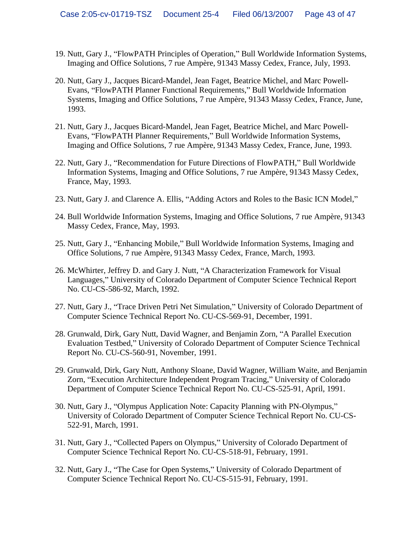- 19. Nutt, Gary J., "FlowPATH Principles of Operation," Bull Worldwide Information Systems, Imaging and Office Solutions, 7 rue Ampère, 91343 Massy Cedex, France, July, 1993.
- 20. Nutt, Gary J., Jacques Bicard-Mandel, Jean Faget, Beatrice Michel, and Marc Powell- Evans, "FlowPATH Planner Functional Requirements," Bull Worldwide Information Systems, Imaging and Office Solutions, 7 rue Ampère, 91343 Massy Cedex, France, June, 1993.
- 21. Nutt, Gary J., Jacques Bicard-Mandel, Jean Faget, Beatrice Michel, and Marc Powell- Evans, "FlowPATH Planner Requirements," Bull Worldwide Information Systems, Imaging and Office Solutions, 7 rue Ampère, 91343 Massy Cedex, France, June, 1993.
- 22. Nutt, Gary J., "Recommendation for Future Directions of FlowPATH," Bull Worldwide Information Systems, Imaging and Office Solutions, 7 rue Ampère, 91343 Massy Cedex, France, May, 1993.
- 23. Nutt, Gary J. and Clarence A. Ellis, "Adding Actors and Roles to the Basic ICN Model,"
- 24. Bull Worldwide Information Systems, Imaging and Office Solutions, 7 rue Ampère, 91343 Massy Cedex, France, May, 1993.
- 25. Nutt, Gary J., "Enhancing Mobile," Bull Worldwide Information Systems, Imaging and Office Solutions, 7 rue Ampère, 91343 Massy Cedex, France, March, 1993.
- 26. McWhirter, Jeffrey D. and Gary J. Nutt, "A Characterization Framework for Visual Languages," University of Colorado Department of Computer Science Technical Report No. CU-CS-586-92, March, 1992.
- 27. Nutt, Gary J., "Trace Driven Petri Net Simulation," University of Colorado Department of Computer Science Technical Report No. CU-CS-569-91, December, 1991.
- 28. Grunwald, Dirk, Gary Nutt, David Wagner, and Benjamin Zorn, "A Parallel Execution Evaluation Testbed," University of Colorado Department of Computer Science Technical Report No. CU-CS-560-91, November, 1991.
- 29. Grunwald, Dirk, Gary Nutt, Anthony Sloane, David Wagner, William Waite, and Benjamin Zorn, "Execution Architecture Independent Program Tracing," University of Colorado Department of Computer Science Technical Report No. CU-CS-525-91, April, 1991.
- 30. Nutt, Gary J., "Olympus Application Note: Capacity Planning with PN-Olympus," University of Colorado Department of Computer Science Technical Report No. CU-CS- 522-91, March, 1991.
- 31. Nutt, Gary J., "Collected Papers on Olympus," University of Colorado Department of Computer Science Technical Report No. CU-CS-518-91, February, 1991.
- 32. Nutt, Gary J., "The Case for Open Systems," University of Colorado Department of Computer Science Technical Report No. CU-CS-515-91, February, 1991.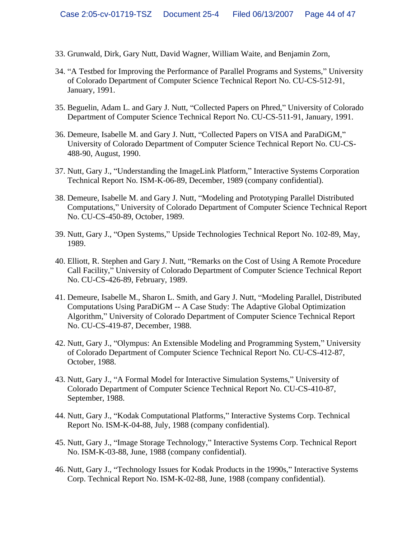- 33. Grunwald, Dirk, Gary Nutt, David Wagner, William Waite, and Benjamin Zorn,
- 34. "A Testbed for Improving the Performance of Parallel Programs and Systems," University of Colorado Department of Computer Science Technical Report No. CU-CS-512-91, January, 1991.
- 35. Beguelin, Adam L. and Gary J. Nutt, "Collected Papers on Phred," University of Colorado Department of Computer Science Technical Report No. CU-CS-511-91, January, 1991.
- 36. Demeure, Isabelle M. and Gary J. Nutt, "Collected Papers on VISA and ParaDiGM," University of Colorado Department of Computer Science Technical Report No. CU-CS- 488-90, August, 1990.
- 37. Nutt, Gary J., "Understanding the ImageLink Platform," Interactive Systems Corporation Technical Report No. ISM-K-06-89, December, 1989 (company confidential).
- 38. Demeure, Isabelle M. and Gary J. Nutt, "Modeling and Prototyping Parallel Distributed Computations," University of Colorado Department of Computer Science Technical Report No. CU-CS-450-89, October, 1989.
- 39. Nutt, Gary J., "Open Systems," Upside Technologies Technical Report No. 102-89, May, 1989.
- 40. Elliott, R. Stephen and Gary J. Nutt, "Remarks on the Cost of Using A Remote Procedure Call Facility, University of Colorado Department of Computer Science Technical Report No. CU-CS-426-89, February, 1989.
- 41. Demeure, Isabelle M., Sharon L. Smith, and Gary J. Nutt, "Modeling Parallel, Distributed Computations Using ParaDiGM -- A Case Study: The Adaptive Global Optimization Algorithm," University of Colorado Department of Computer Science Technical Report No. CU-CS-419-87, December, 1988.
- 42. Nutt, Gary J., "Olympus: An Extensible Modeling and Programming System," University of Colorado Department of Computer Science Technical Report No. CU-CS-412-87, October, 1988.
- 43. Nutt, Gary J., "A Formal Model for Interactive Simulation Systems," University of Colorado Department of Computer Science Technical Report No. CU-CS-410-87, September, 1988.
- 44. Nutt, Gary J., "Kodak Computational Platforms," Interactive Systems Corp. Technical Report No. ISM-K-04-88, July, 1988 (company confidential).
- 45. Nutt, Gary J., "Image Storage Technology," Interactive Systems Corp. Technical Report No. ISM-K-03-88, June, 1988 (company confidential).
- 46. Nutt, Gary J., "Technology Issues for Kodak Products in the 1990s," Interactive Systems Corp. Technical Report No. ISM-K-02-88, June, 1988 (company confidential).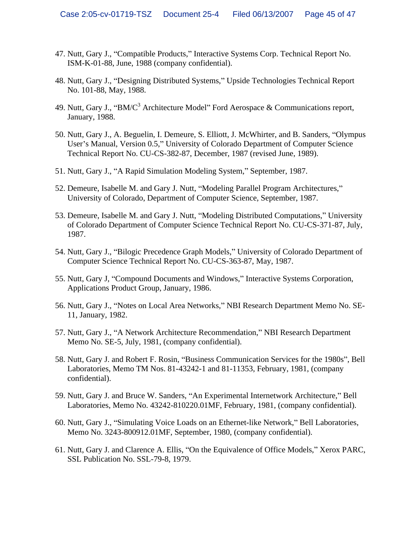- 47. Nutt, Gary J., "Compatible Products," Interactive Systems Corp. Technical Report No. ISM-K-01-88, June, 1988 (company confidential).
- 48. Nutt, Gary J., "Designing Distributed Systems," Upside Technologies Technical Report No. 101-88, May, 1988.
- 49. Nutt, Gary J., "BM/C<sup>3</sup> Architecture Model" Ford Aerospace & Communications report, January, 1988.
- 50. Nutt, Gary J., A. Beguelin, I. Demeure, S. Elliott, J. McWhirter, and B. Sanders, "Olympus User's Manual, Version 0.5," University of Colorado Department of Computer Science Technical Report No. CU-CS-382-87, December, 1987 (revised June, 1989).
- 51. Nutt, Gary J., "A Rapid Simulation Modeling System," September, 1987.
- 52. Demeure, Isabelle M. and Gary J. Nutt, "Modeling Parallel Program Architectures," University of Colorado, Department of Computer Science, September, 1987.
- 53. Demeure, Isabelle M. and Gary J. Nutt, "Modeling Distributed Computations," University of Colorado Department of Computer Science Technical Report No. CU-CS-371-87, July, 1987.
- 54. Nutt, Gary J., "Bilogic Precedence Graph Models," University of Colorado Department of Computer Science Technical Report No. CU-CS-363-87, May, 1987.
- 55. Nutt, Gary J, "Compound Documents and Windows," Interactive Systems Corporation, Applications Product Group, January, 1986.
- 56. Nutt, Gary J., "Notes on Local Area Networks," NBI Research Department Memo No. SE-11, January, 1982.
- 57. Nutt, Gary J., "A Network Architecture Recommendation," NBI Research Department Memo No. SE-5, July, 1981, (company confidential).
- 58. Nutt, Gary J. and Robert F. Rosin, "Business Communication Services for the 1980s", Bell Laboratories, Memo TM Nos. 81-43242-1 and 81-11353, February, 1981, (company confidential).
- 59. Nutt, Gary J. and Bruce W. Sanders, "An Experimental Internetwork Architecture," Bell Laboratories, Memo No. 43242-810220.01MF, February, 1981, (company confidential).
- 60. Nutt, Gary J., "Simulating Voice Loads on an Ethernet-like Network," Bell Laboratories, Memo No. 3243-800912.01MF, September, 1980, (company confidential).
- 61. Nutt, Gary J. and Clarence A. Ellis, "On the Equivalence of Office Models," Xerox PARC, SSL Publication No. SSL-79-8, 1979.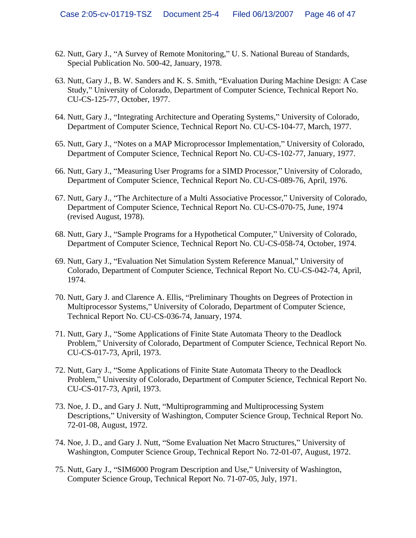- 62. Nutt, Gary J., "A Survey of Remote Monitoring," U. S. National Bureau of Standards, Special Publication No. 500-42, January, 1978.
- 63. Nutt, Gary J., B. W. Sanders and K. S. Smith, "Evaluation During Machine Design: A Case Study," University of Colorado, Department of Computer Science, Technical Report No. CU-CS-125-77, October, 1977.
- 64. Nutt, Gary J., "Integrating Architecture and Operating Systems," University of Colorado, Department of Computer Science, Technical Report No. CU-CS-104-77, March, 1977.
- 65. Nutt, Gary J., "Notes on a MAP Microprocessor Implementation," University of Colorado, Department of Computer Science, Technical Report No. CU-CS-102-77, January, 1977.
- 66. Nutt, Gary J., Measuring User Programs for a SIMD Processor, University of Colorado, Department of Computer Science, Technical Report No. CU-CS-089-76, April, 1976.
- 67. Nutt, Gary J., "The Architecture of a Multi Associative Processor," University of Colorado, Department of Computer Science, Technical Report No. CU-CS-070-75, June, 1974 (revised August, 1978).
- 68. Nutt, Gary J., "Sample Programs for a Hypothetical Computer," University of Colorado, Department of Computer Science, Technical Report No. CU-CS-058-74, October, 1974.
- 69. Nutt, Gary J., "Evaluation Net Simulation System Reference Manual," University of Colorado, Department of Computer Science, Technical Report No. CU-CS-042-74, April, 1974.
- 70. Nutt, Gary J. and Clarence A. Ellis, "Preliminary Thoughts on Degrees of Protection in Multiprocessor Systems," University of Colorado, Department of Computer Science, Technical Report No. CU-CS-036-74, January, 1974.
- 71. Nutt, Gary J., "Some Applications of Finite State Automata Theory to the Deadlock Problem," University of Colorado, Department of Computer Science, Technical Report No. CU-CS-017-73, April, 1973.
- 72. Nutt, Gary J., "Some Applications of Finite State Automata Theory to the Deadlock Problem," University of Colorado, Department of Computer Science, Technical Report No. CU-CS-017-73, April, 1973.
- 73. Noe, J. D., and Gary J. Nutt, "Multiprogramming and Multiprocessing System Descriptions," University of Washington, Computer Science Group, Technical Report No. 72-01-08, August, 1972.
- 74. Noe, J. D., and Gary J. Nutt, "Some Evaluation Net Macro Structures," University of Washington, Computer Science Group, Technical Report No. 72-01-07, August, 1972.
- 75. Nutt, Gary J., "SIM6000 Program Description and Use," University of Washington, Computer Science Group, Technical Report No. 71-07-05, July, 1971.